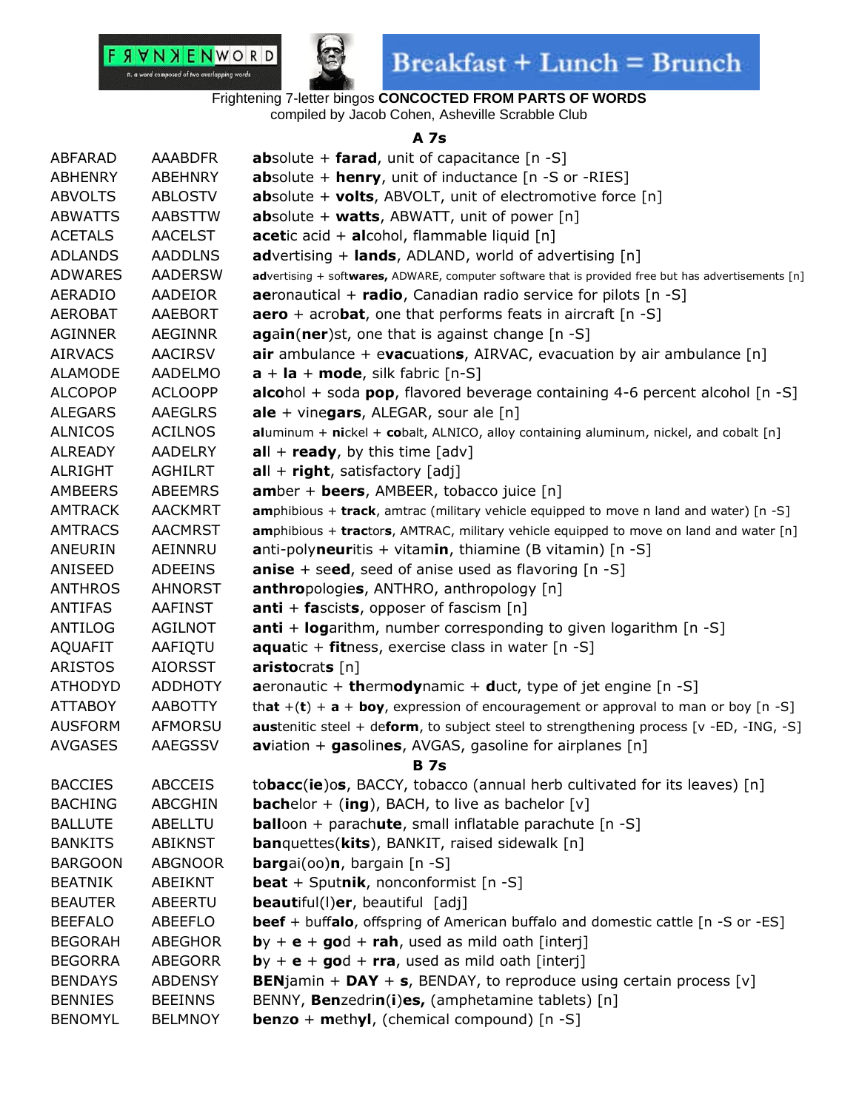



Frightening 7-letter bingos **CONCOCTED FROM PARTS OF WORDS**

compiled by Jacob Cohen, Asheville Scrabble Club

### **A 7s**

| <b>ABFARAD</b> | <b>AAABDFR</b> | <b>ab</b> solute + <b>farad</b> , unit of capacitance $[n -S]$                                      |
|----------------|----------------|-----------------------------------------------------------------------------------------------------|
| <b>ABHENRY</b> | <b>ABEHNRY</b> | <b>absolute + henry, unit of inductance [n -S or -RIES]</b>                                         |
| <b>ABVOLTS</b> | <b>ABLOSTV</b> | <b>absolute + volts, ABVOLT, unit of electromotive force</b> [n]                                    |
| <b>ABWATTS</b> | <b>AABSTTW</b> | <b>absolute + watts, ABWATT, unit of power [n]</b>                                                  |
| <b>ACETALS</b> | <b>AACELST</b> | acetic acid + alcohol, flammable liquid [n]                                                         |
| <b>ADLANDS</b> | <b>AADDLNS</b> | <b>advertising + lands, ADLAND, world of advertising [n]</b>                                        |
| <b>ADWARES</b> | <b>AADERSW</b> | advertising + softwares, ADWARE, computer software that is provided free but has advertisements [n] |
| <b>AERADIO</b> | AADEIOR        | aeronautical + radio, Canadian radio service for pilots [n -S]                                      |
| <b>AEROBAT</b> | <b>AAEBORT</b> | <b>aero</b> + acrobat, one that performs feats in aircraft $[n -S]$                                 |
| <b>AGINNER</b> | <b>AEGINNR</b> | again(ner)st, one that is against change [n -S]                                                     |
| <b>AIRVACS</b> | <b>AACIRSV</b> | <b>air</b> ambulance + evacuations, AIRVAC, evacuation by air ambulance $[n]$                       |
| <b>ALAMODE</b> | <b>AADELMO</b> | $a + la + mode$ , silk fabric [n-S]                                                                 |
| <b>ALCOPOP</b> | <b>ACLOOPP</b> | <b>alcohol</b> + soda <b>pop</b> , flavored beverage containing 4-6 percent alcohol $[n -S]$        |
| <b>ALEGARS</b> | <b>AAEGLRS</b> | <b>ale</b> + vinegars, ALEGAR, sour ale $[n]$                                                       |
| <b>ALNICOS</b> | <b>ACILNOS</b> | aluminum + nickel + cobalt, ALNICO, alloy containing aluminum, nickel, and cobalt [n]               |
| <b>ALREADY</b> | <b>AADELRY</b> | $all + ready$ , by this time [adv]                                                                  |
| ALRIGHT        | <b>AGHILRT</b> | $all + right$ , satisfactory [adj]                                                                  |
| <b>AMBEERS</b> | <b>ABEEMRS</b> | <b>amber + beers, AMBEER, tobacco juice [n]</b>                                                     |
| <b>AMTRACK</b> | <b>AACKMRT</b> | amphibious + track, amtrac (military vehicle equipped to move n land and water) [n -S]              |
| <b>AMTRACS</b> | <b>AACMRST</b> | amphibious + tractors, AMTRAC, military vehicle equipped to move on land and water [n]              |
| ANEURIN        | AEINNRU        | <b>anti-polyneuritis</b> + vitamin, thiamine (B vitamin) $[n -S]$                                   |
| ANISEED        | <b>ADEEINS</b> | <b>anise</b> + seed, seed of anise used as flavoring $[n -S]$                                       |
| <b>ANTHROS</b> | <b>AHNORST</b> | anthropologies, ANTHRO, anthropology [n]                                                            |
| <b>ANTIFAS</b> | <b>AAFINST</b> | <b>anti</b> + <b>fa</b> scists, opposer of fascism $[n]$                                            |
| ANTILOG        | <b>AGILNOT</b> | <b>anti</b> + <b>log</b> arithm, number corresponding to given logarithm $[n -S]$                   |
| <b>AQUAFIT</b> | AAFIQTU        | <b>aquatic</b> + <b>fit</b> ness, exercise class in water $[n -S]$                                  |
| <b>ARISTOS</b> | <b>AIORSST</b> | aristocrats[n]                                                                                      |
| <b>ATHODYD</b> | <b>ADDHOTY</b> | <b>a</b> eronautic + <b>thermodynamic + duct</b> , type of jet engine $[n -S]$                      |
| <b>ATTABOY</b> | <b>AABOTTY</b> | that $+(t) + a + boy$ , expression of encouragement or approval to man or boy [n -S]                |
| <b>AUSFORM</b> | AFMORSU        | <b>austenitic steel + deform, to subject steel to strengthening process [v -ED, -ING, -S]</b>       |
| <b>AVGASES</b> | <b>AAEGSSV</b> | aviation + gasolines, AVGAS, gasoline for airplanes [n]                                             |
|                |                | B 7s                                                                                                |
| <b>BACCIES</b> | <b>ABCCEIS</b> | tobacc(ie)os, BACCY, tobacco (annual herb cultivated for its leaves) [n]                            |
| <b>BACHING</b> | <b>ABCGHIN</b> | <b>bachelor</b> + (ing), BACH, to live as bachelor $[v]$                                            |
| <b>BALLUTE</b> | ABELLTU        | <b>balloon</b> + parachute, small inflatable parachute [n -S]                                       |
| <b>BANKITS</b> | <b>ABIKNST</b> | <b>ban</b> quettes(kits), BANKIT, raised sidewalk [n]                                               |
| <b>BARGOON</b> | <b>ABGNOOR</b> | <b>bargai(00)n, bargain [n -S]</b>                                                                  |
| <b>BEATNIK</b> | ABEIKNT        | <b>beat</b> + Sputnik, nonconformist [n -S]                                                         |
| <b>BEAUTER</b> | ABEERTU        | <b>beautiful(I)er, beautiful</b> [adj]                                                              |
| <b>BEEFALO</b> | ABEEFLO        | <b>beef</b> + buffalo, offspring of American buffalo and domestic cattle [n -S or -ES]              |
| <b>BEGORAH</b> | <b>ABEGHOR</b> | $by + e + god + rah$ , used as mild oath [interj]                                                   |
| <b>BEGORRA</b> | <b>ABEGORR</b> | $by + e + god + rra$ , used as mild oath [interj]                                                   |
| <b>BENDAYS</b> | <b>ABDENSY</b> | <b>BENjamin + DAY + s, BENDAY, to reproduce using certain process [v]</b>                           |
| <b>BENNIES</b> | <b>BEEINNS</b> | BENNY, Benzedrin(i)es, (amphetamine tablets) [n]                                                    |
| <b>BENOMYL</b> | <b>BELMNOY</b> | <b>benzo</b> + <b>methyl</b> , (chemical compound) $[n -S]$                                         |
|                |                |                                                                                                     |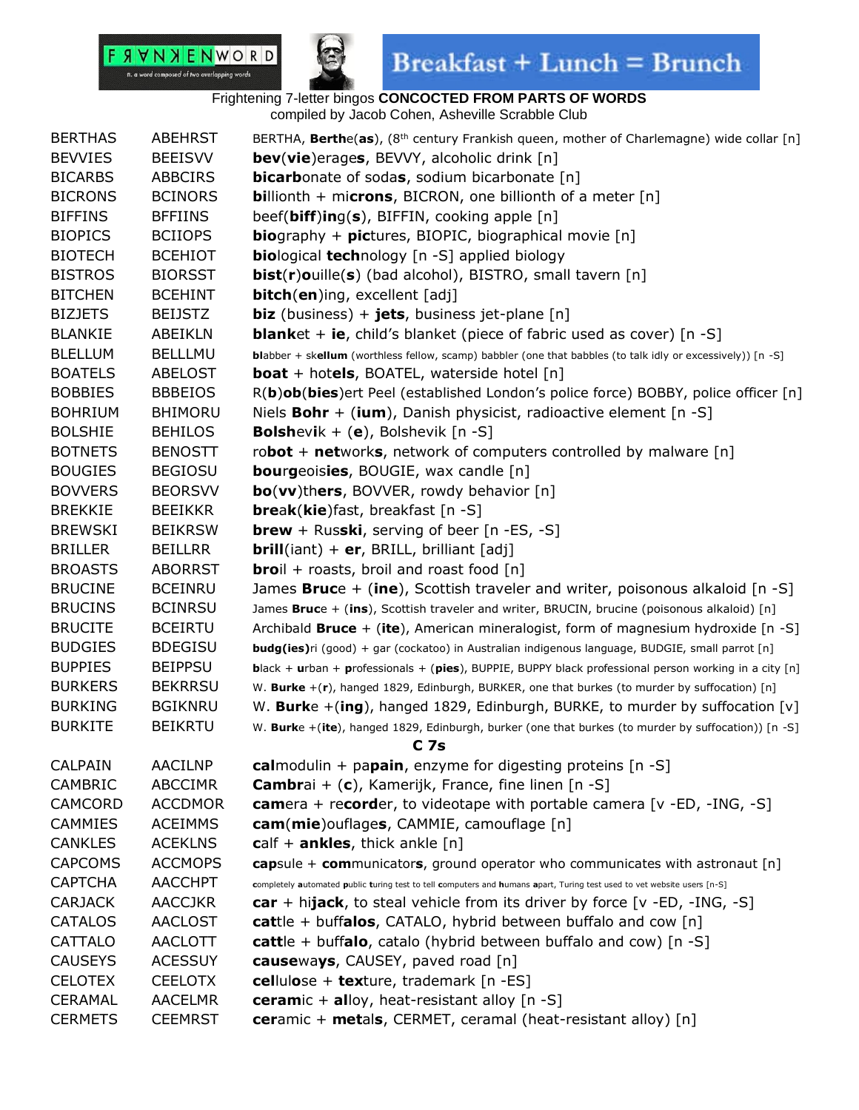

| <b>BERTHAS</b> | <b>ABEHRST</b> | BERTHA, Berthe(as), (8 <sup>th</sup> century Frankish queen, mother of Charlemagne) wide collar [n]                     |
|----------------|----------------|-------------------------------------------------------------------------------------------------------------------------|
| <b>BEVVIES</b> | <b>BEEISVV</b> | bev(vie)erages, BEVVY, alcoholic drink [n]                                                                              |
| <b>BICARBS</b> | <b>ABBCIRS</b> | <b>bicarb</b> onate of sodas, sodium bicarbonate [n]                                                                    |
| <b>BICRONS</b> | <b>BCINORS</b> | <b>billionth</b> + microns, BICRON, one billionth of a meter $[n]$                                                      |
| <b>BIFFINS</b> | <b>BFFIINS</b> | beef( $\text{biff}$ )ing( $\text{s}$ ), BIFFIN, cooking apple [n]                                                       |
| <b>BIOPICS</b> | <b>BCIIOPS</b> | <b>bio</b> graphy + <b>pictures</b> , BIOPIC, biographical movie $[n]$                                                  |
| <b>BIOTECH</b> | <b>BCEHIOT</b> | <b>biological technology</b> [n -S] applied biology                                                                     |
| <b>BISTROS</b> | <b>BIORSST</b> | bist(r)ouille(s) (bad alcohol), BISTRO, small tavern [n]                                                                |
| <b>BITCHEN</b> | <b>BCEHINT</b> | bitch(en)ing, excellent [adj]                                                                                           |
| <b>BIZJETS</b> | <b>BEIJSTZ</b> | <b>biz</b> (business) + <b>jets</b> , business jet-plane $[n]$                                                          |
| <b>BLANKIE</b> | ABEIKLN        | <b>blank</b> et + ie, child's blanket (piece of fabric used as cover) $[n -S]$                                          |
| <b>BLELLUM</b> | <b>BELLLMU</b> | blabber + skellum (worthless fellow, scamp) babbler (one that babbles (to talk idly or excessively)) [n -S]             |
| <b>BOATELS</b> | <b>ABELOST</b> | <b>boat</b> + hotels, BOATEL, waterside hotel $[n]$                                                                     |
| <b>BOBBIES</b> | <b>BBBEIOS</b> | R(b)ob(bies)ert Peel (established London's police force) BOBBY, police officer [n]                                      |
| <b>BOHRIUM</b> | <b>BHIMORU</b> | Niels <b>Bohr</b> + (ium), Danish physicist, radioactive element $[n -S]$                                               |
| <b>BOLSHIE</b> | <b>BEHILOS</b> | <b>Bolsh</b> evik + $(e)$ , Bolshevik $[n - S]$                                                                         |
| <b>BOTNETS</b> | <b>BENOSTT</b> | robot + networks, network of computers controlled by malware $[n]$                                                      |
| <b>BOUGIES</b> | <b>BEGIOSU</b> | <b>bourgeoisies, BOUGIE, wax candle [n]</b>                                                                             |
| <b>BOVVERS</b> | <b>BEORSVV</b> | bo(vv)thers, BOVVER, rowdy behavior [n]                                                                                 |
| <b>BREKKIE</b> | <b>BEEIKKR</b> | <b>break(kie)</b> fast, breakfast [n -S]                                                                                |
| <b>BREWSKI</b> | <b>BEIKRSW</b> | <b>brew</b> + Russki, serving of beer $[n - ES, -S]$                                                                    |
| <b>BRILLER</b> | <b>BEILLRR</b> | <b>brill</b> (iant) + $er$ , BRILL, brilliant [adj]                                                                     |
| <b>BROASTS</b> | <b>ABORRST</b> | <b>bro</b> il + roasts, broil and roast food $[n]$                                                                      |
| <b>BRUCINE</b> | <b>BCEINRU</b> | James <b>Bruc</b> e + (ine), Scottish traveler and writer, poisonous alkaloid $[n - S]$                                 |
| <b>BRUCINS</b> | <b>BCINRSU</b> | James Bruce + (ins), Scottish traveler and writer, BRUCIN, brucine (poisonous alkaloid) [n]                             |
| <b>BRUCITE</b> | <b>BCEIRTU</b> | Archibald <b>Bruce</b> + (ite), American mineralogist, form of magnesium hydroxide $[n -S]$                             |
| <b>BUDGIES</b> | <b>BDEGISU</b> | <b>budg(ies)</b> ri (good) + gar (cockatoo) in Australian indigenous language, BUDGIE, small parrot [n]                 |
| <b>BUPPIES</b> | <b>BEIPPSU</b> | <b>b</b> lack + urban + professionals + (pies), BUPPIE, BUPPY black professional person working in a city [n]           |
| <b>BURKERS</b> | <b>BEKRRSU</b> | W. Burke +(r), hanged 1829, Edinburgh, BURKER, one that burkes (to murder by suffocation) [n]                           |
| <b>BURKING</b> | <b>BGIKNRU</b> | W. Burke +(ing), hanged 1829, Edinburgh, BURKE, to murder by suffocation [v]                                            |
| <b>BURKITE</b> | <b>BEIKRTU</b> | W. Burke +(ite), hanged 1829, Edinburgh, burker (one that burkes (to murder by suffocation)) [n -S]                     |
|                |                | C <sub>7s</sub>                                                                                                         |
| <b>CALPAIN</b> | <b>AACILNP</b> | calmodulin + papain, enzyme for digesting proteins $[n -S]$                                                             |
| CAMBRIC        | <b>ABCCIMR</b> | <b>Cambr</b> ai + $(c)$ , Kamerijk, France, fine linen $[n -S]$                                                         |
| CAMCORD        | <b>ACCDMOR</b> | <b>camera</b> + recorder, to videotape with portable camera [ $v$ -ED, -ING, -S]                                        |
| CAMMIES        | <b>ACEIMMS</b> | cam(mie)ouflages, CAMMIE, camouflage [n]                                                                                |
| <b>CANKLES</b> | <b>ACEKLNS</b> | calf + ankles, thick ankle $[n]$                                                                                        |
| <b>CAPCOMS</b> | <b>ACCMOPS</b> | capsule + communicators, ground operator who communicates with astronaut [n]                                            |
| <b>CAPTCHA</b> | <b>AACCHPT</b> | completely automated public turing test to tell computers and humans apart, Turing test used to vet website users [n-S] |
| <b>CARJACK</b> | <b>AACCJKR</b> | car + hijack, to steal vehicle from its driver by force [v -ED, -ING, -S]                                               |
| CATALOS        | <b>AACLOST</b> | cattle + buffalos, CATALO, hybrid between buffalo and cow $[n]$                                                         |
| CATTALO        | <b>AACLOTT</b> | cattle + buffalo, catalo (hybrid between buffalo and cow) $[n -S]$                                                      |
| <b>CAUSEYS</b> | <b>ACESSUY</b> | causeways, CAUSEY, paved road [n]                                                                                       |
| <b>CELOTEX</b> | <b>CEELOTX</b> | cellulose + texture, trademark [n -ES]                                                                                  |
| <b>CERAMAL</b> | <b>AACELMR</b> | ceramic $+$ alloy, heat-resistant alloy [n -S]                                                                          |
| <b>CERMETS</b> | <b>CEEMRST</b> | <b>ceramic + metals, CERMET, ceramal (heat-resistant alloy)</b> [n]                                                     |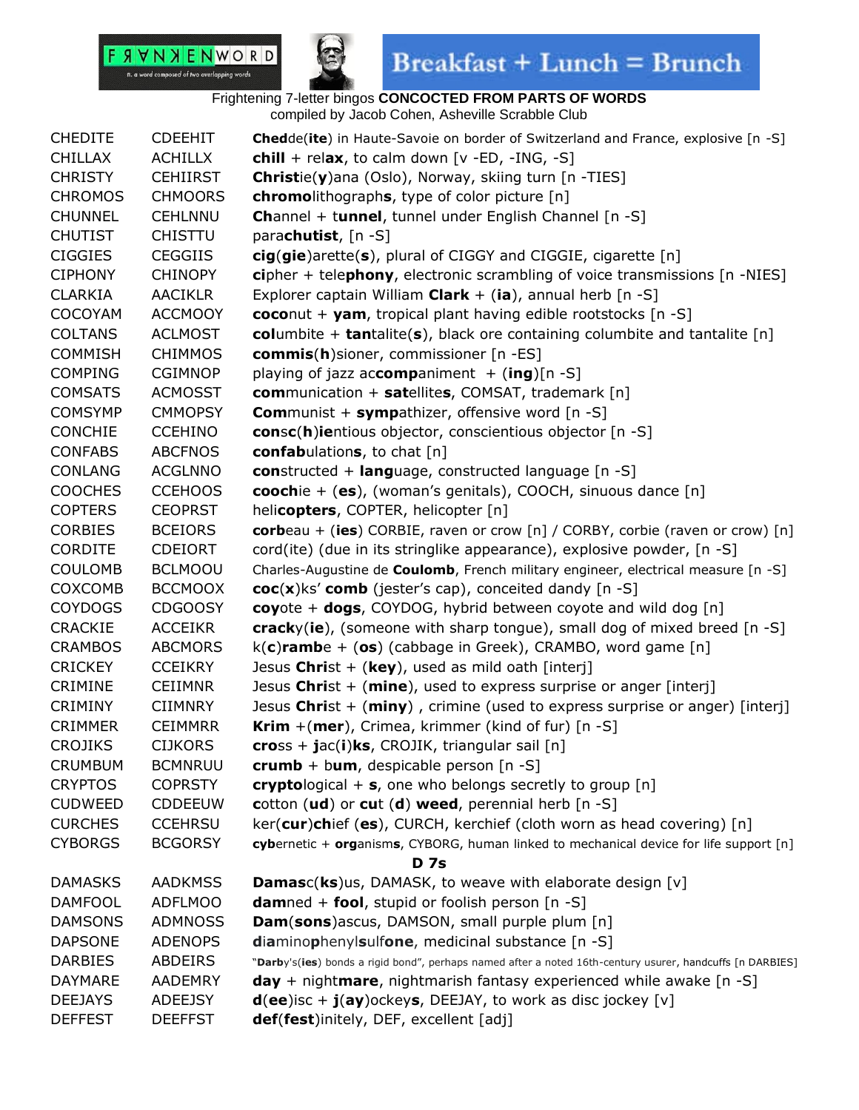



| <b>CHEDITE</b> | <b>CDEEHIT</b>  | Chedde(ite) in Haute-Savoie on border of Switzerland and France, explosive [n -S]                         |
|----------------|-----------------|-----------------------------------------------------------------------------------------------------------|
| <b>CHILLAX</b> | <b>ACHILLX</b>  | chill + relax, to calm down $[v - ED, -ING, -S]$                                                          |
| <b>CHRISTY</b> | <b>CEHIIRST</b> | Christie(y)ana (Oslo), Norway, skiing turn [n -TIES]                                                      |
| <b>CHROMOS</b> | <b>CHMOORS</b>  | <b>chromolithographs</b> , type of color picture [n]                                                      |
| <b>CHUNNEL</b> | <b>CEHLNNU</b>  | Channel + tunnel, tunnel under English Channel [n -S]                                                     |
| <b>CHUTIST</b> | <b>CHISTTU</b>  | parachutist, [n -S]                                                                                       |
| <b>CIGGIES</b> | <b>CEGGIIS</b>  | cig(gie)arette(s), plural of CIGGY and CIGGIE, cigarette [n]                                              |
| <b>CIPHONY</b> | <b>CHINOPY</b>  | cipher + telephony, electronic scrambling of voice transmissions [n -NIES]                                |
| <b>CLARKIA</b> | <b>AACIKLR</b>  | Explorer captain William Clark $+$ (ia), annual herb [n -S]                                               |
| <b>COCOYAM</b> | <b>ACCMOOY</b>  | coconut + yam, tropical plant having edible rootstocks $[n -S]$                                           |
| <b>COLTANS</b> | <b>ACLMOST</b>  | columbite + tantalite(s), black ore containing columbite and tantalite $[n]$                              |
| <b>COMMISH</b> | <b>CHIMMOS</b>  | commis(h)sioner, commissioner [n -ES]                                                                     |
| <b>COMPING</b> | <b>CGIMNOP</b>  | playing of jazz accompaniment $+$ (ing)[n -S]                                                             |
| <b>COMSATS</b> | <b>ACMOSST</b>  | <b>com</b> munication + satellites, COMSAT, trademark [n]                                                 |
| <b>COMSYMP</b> | <b>CMMOPSY</b>  | <b>Communist + sympathizer, offensive word [n -S]</b>                                                     |
| <b>CONCHIE</b> | <b>CCEHINO</b>  | consc(h)ientious objector, conscientious objector [n -S]                                                  |
| <b>CONFABS</b> | <b>ABCFNOS</b>  | confabulations, to chat [n]                                                                               |
| <b>CONLANG</b> | <b>ACGLNNO</b>  | constructed + language, constructed language [n -S]                                                       |
| <b>COOCHES</b> | <b>CCEHOOS</b>  | coochie + (es), (woman's genitals), COOCH, sinuous dance [n]                                              |
| <b>COPTERS</b> | <b>CEOPRST</b>  | helicopters, COPTER, helicopter [n]                                                                       |
| <b>CORBIES</b> | <b>BCEIORS</b>  | corbeau + (ies) CORBIE, raven or crow [n] / CORBY, corbie (raven or crow) [n]                             |
| <b>CORDITE</b> | <b>CDEIORT</b>  | cord(ite) (due in its stringlike appearance), explosive powder, [n -S]                                    |
| <b>COULOMB</b> | <b>BCLMOOU</b>  | Charles-Augustine de Coulomb, French military engineer, electrical measure [n -S]                         |
| COXCOMB        | <b>BCCMOOX</b>  | $\mathbf{coc}(x)$ ks' comb (jester's cap), conceited dandy [n -S]                                         |
| <b>COYDOGS</b> | <b>CDGOOSY</b>  | coyote + dogs, COYDOG, hybrid between coyote and wild dog [n]                                             |
| CRACKIE        | <b>ACCEIKR</b>  | cracky(ie), (someone with sharp tongue), small dog of mixed breed [n -S]                                  |
| <b>CRAMBOS</b> | <b>ABCMORS</b>  | $k(c)$ rambe + (os) (cabbage in Greek), CRAMBO, word game [n]                                             |
| <b>CRICKEY</b> | <b>CCEIKRY</b>  | Jesus Christ + (key), used as mild oath [interj]                                                          |
| <b>CRIMINE</b> | <b>CEIIMNR</b>  | Jesus Christ $+$ (mine), used to express surprise or anger [interj]                                       |
| <b>CRIMINY</b> | <b>CIIMNRY</b>  | Jesus Christ + $(miny)$ , crimine (used to express surprise or anger) [interj]                            |
| <b>CRIMMER</b> | <b>CEIMMRR</b>  | <b>Krim</b> $+(mer)$ , Crimea, krimmer (kind of fur) $[n - S]$                                            |
| <b>CROJIKS</b> | <b>CIJKORS</b>  | $\text{cross} + \text{jac}(i)$ ks, CROJIK, triangular sail [n]                                            |
| <b>CRUMBUM</b> | <b>BCMNRUU</b>  | crumb + bum, despicable person $[n -S]$                                                                   |
| <b>CRYPTOS</b> | <b>COPRSTY</b>  | cryptological $+$ s, one who belongs secretly to group [n]                                                |
| <b>CUDWEED</b> | <b>CDDEEUW</b>  | cotton (ud) or cut (d) weed, perennial herb [n -S]                                                        |
| <b>CURCHES</b> | <b>CCEHRSU</b>  | ker(cur)chief (es), CURCH, kerchief (cloth worn as head covering) [n]                                     |
| <b>CYBORGS</b> | <b>BCGORSY</b>  | cybernetic + organisms, CYBORG, human linked to mechanical device for life support [n]                    |
|                |                 | <b>D</b> 7s                                                                                               |
| <b>DAMASKS</b> | <b>AADKMSS</b>  | Damasc(ks)us, DAMASK, to weave with elaborate design [v]                                                  |
| <b>DAMFOOL</b> | <b>ADFLMOO</b>  | <b>damned + fool, stupid or foolish person [n -S]</b>                                                     |
| <b>DAMSONS</b> | <b>ADMNOSS</b>  | Dam(sons)ascus, DAMSON, small purple plum [n]                                                             |
| <b>DAPSONE</b> | <b>ADENOPS</b>  | diaminophenylsulfone, medicinal substance [n -S]                                                          |
| <b>DARBIES</b> | <b>ABDEIRS</b>  | "Darby's(ies) bonds a rigid bond", perhaps named after a noted 16th-century usurer, handcuffs [n DARBIES] |
| <b>DAYMARE</b> | <b>AADEMRY</b>  | $day + nightmare$ , nightmarish fantasy experienced while awake $[n -S]$                                  |
| <b>DEEJAYS</b> | <b>ADEEJSY</b>  | $d(ee)$ isc + $j(ay)$ ockeys, DEEJAY, to work as disc jockey [v]                                          |
| <b>DEFFEST</b> | <b>DEEFFST</b>  | def(fest)initely, DEF, excellent [adj]                                                                    |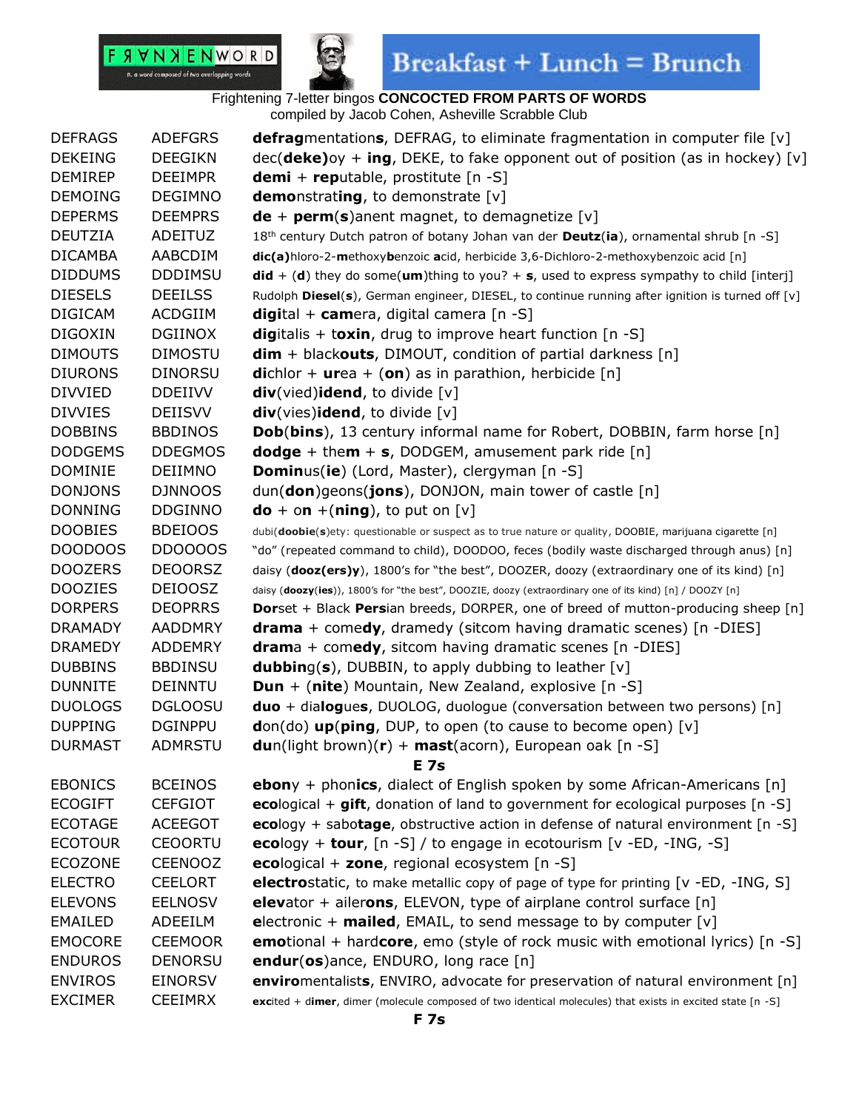



### Frightening 7-letter bingos **CONCOCTED FROM PARTS OF WORDS**

compiled by Jacob Cohen, Asheville Scrabble Club

| <b>DEFRAGS</b> | <b>ADEFGRS</b> | <b>defragmentations, DEFRAG, to eliminate fragmentation in computer file [v]</b>                            |
|----------------|----------------|-------------------------------------------------------------------------------------------------------------|
| <b>DEKEING</b> | <b>DEEGIKN</b> | $dec(deke)oy + ing$ , DEKE, to fake opponent out of position (as in hockey) [v]                             |
| <b>DEMIREP</b> | <b>DEEIMPR</b> | <b>demi</b> + <b>rep</b> utable, prostitute $[n -S]$                                                        |
| <b>DEMOING</b> | <b>DEGIMNO</b> | <b>demo</b> nstrating, to demonstrate $[v]$                                                                 |
| <b>DEPERMS</b> | <b>DEEMPRS</b> | $de + perm(s)$ and magnet, to demagnetize [v]                                                               |
| <b>DEUTZIA</b> | ADEITUZ        | 18 <sup>th</sup> century Dutch patron of botany Johan van der Deutz(ia), ornamental shrub [n -S]            |
| <b>DICAMBA</b> | AABCDIM        | dic(a)hloro-2-methoxybenzoic acid, herbicide 3,6-Dichloro-2-methoxybenzoic acid [n]                         |
| <b>DIDDUMS</b> | <b>DDDIMSU</b> | $\mathsf{did} + (\mathsf{d})$ they do some(um)thing to you? + s, used to express sympathy to child [interj] |
| <b>DIESELS</b> | <b>DEEILSS</b> | Rudolph Diesel(s), German engineer, DIESEL, to continue running after ignition is turned off [v]            |
| <b>DIGICAM</b> | <b>ACDGIIM</b> | digital + camera, digital camera [n -S]                                                                     |
| <b>DIGOXIN</b> | <b>DGIINOX</b> | digitalis + toxin, drug to improve heart function $[n -S]$                                                  |
| <b>DIMOUTS</b> | <b>DIMOSTU</b> | $dim + blackouts, DIMOUT, condition of partial darkness [n]$                                                |
| <b>DIURONS</b> | <b>DINORSU</b> | <b>di</b> chlor + <b>urea</b> + ( <b>on</b> ) as in parathion, herbicide [n]                                |
| <b>DIVVIED</b> | <b>DDEIIVV</b> | div(vied)idend, to divide [v]                                                                               |
| <b>DIVVIES</b> | <b>DEIISVV</b> | $div(vies)$ idend, to divide [v]                                                                            |
| <b>DOBBINS</b> | <b>BBDINOS</b> | <b>Dob(bins), 13 century informal name for Robert, DOBBIN, farm horse [n]</b>                               |
| <b>DODGEMS</b> | <b>DDEGMOS</b> | <b>dodge</b> + them + $s$ , DODGEM, amusement park ride [n]                                                 |
| <b>DOMINIE</b> | <b>DEIIMNO</b> | <b>Dominus(ie)</b> (Lord, Master), clergyman [n -S]                                                         |
| <b>DONJONS</b> | <b>DJNNOOS</b> | dun(don)geons(jons), DONJON, main tower of castle [n]                                                       |
| <b>DONNING</b> | <b>DDGINNO</b> | $\mathbf{do} + \mathbf{on} + (\mathbf{ning})$ , to put on $\lceil v \rceil$                                 |
| <b>DOOBIES</b> | <b>BDEIOOS</b> | dubi(doobie(s)ety: questionable or suspect as to true nature or quality, DOOBIE, marijuana cigarette [n]    |
| DOODOOS        | <b>DD0000S</b> | "do" (repeated command to child), DOODOO, feces (bodily waste discharged through anus) [n]                  |
| <b>DOOZERS</b> | <b>DEOORSZ</b> | daisy (dooz(ers)y), 1800's for "the best", DOOZER, doozy (extraordinary one of its kind) [n]                |
| <b>DOOZIES</b> | <b>DEIOOSZ</b> | daisy (doozy(ies)), 1800's for "the best", DOOZIE, doozy (extraordinary one of its kind) [n] / DOOZY [n]    |
| <b>DORPERS</b> | <b>DEOPRRS</b> | <b>Dorset + Black Persian breeds, DORPER, one of breed of mutton-producing sheep</b> [n]                    |
| <b>DRAMADY</b> | <b>AADDMRY</b> | <b>drama</b> + comedy, dramedy (sitcom having dramatic scenes) $[n - DIES]$                                 |
| <b>DRAMEDY</b> | <b>ADDEMRY</b> | $d$ rama + comedy, sitcom having dramatic scenes [n -DIES]                                                  |
| <b>DUBBINS</b> | <b>BBDINSU</b> | <b>dubbing(s), DUBBIN, to apply dubbing to leather [v]</b>                                                  |
| <b>DUNNITE</b> | <b>DEINNTU</b> | <b>Dun</b> + (nite) Mountain, New Zealand, explosive $[n -S]$                                               |
| <b>DUOLOGS</b> | <b>DGLOOSU</b> | <b>duo</b> + dialogues, DUOLOG, duologue (conversation between two persons) [n]                             |
| <b>DUPPING</b> | <b>DGINPPU</b> | $don(do)$ up(ping, DUP, to open (to cause to become open) [v]                                               |
| <b>DURMAST</b> | <b>ADMRSTU</b> | <b>du</b> n(light brown)( <b>r</b> ) + <b>mast</b> (acorn), European oak [n -S]                             |
|                |                | E 7s                                                                                                        |
| <b>EBONICS</b> | <b>BCEINOS</b> | <b>ebon</b> y + phonics, dialect of English spoken by some African-Americans $[n]$                          |
| <b>ECOGIFT</b> | <b>CEFGIOT</b> | ecological + gift, donation of land to government for ecological purposes [n -S]                            |
| <b>ECOTAGE</b> | <b>ACEEGOT</b> | ecology + sabotage, obstructive action in defense of natural environment $[n -S]$                           |
| <b>ECOTOUR</b> | <b>CEOORTU</b> | ecology + tour, $[n -S]$ / to engage in ecotourism $[v -ED, -ING, -S]$                                      |
| <b>ECOZONE</b> | <b>CEENOOZ</b> | ecological + zone, regional ecosystem $[n -S]$                                                              |
| <b>ELECTRO</b> | <b>CEELORT</b> | <b>electrostatic</b> , to make metallic copy of page of type for printing [v -ED, -ING, S]                  |
| <b>ELEVONS</b> | <b>EELNOSV</b> | <b>elevator</b> + ailerons, ELEVON, type of airplane control surface $[n]$                                  |
| <b>EMAILED</b> | ADEEILM        | electronic + mailed, EMAIL, to send message to by computer $[v]$                                            |
| <b>EMOCORE</b> | <b>CEEMOOR</b> | <b>emotional</b> + hardcore, emo (style of rock music with emotional lyrics) [n -S]                         |
| <b>ENDUROS</b> | <b>DENORSU</b> | endur(os)ance, ENDURO, long race [n]                                                                        |
| <b>ENVIROS</b> | <b>EINORSV</b> | enviromentalists, ENVIRO, advocate for preservation of natural environment [n]                              |
| <b>EXCIMER</b> | <b>CEEIMRX</b> | excited + dimer, dimer (molecule composed of two identical molecules) that exists in excited state [n -S]   |
|                |                |                                                                                                             |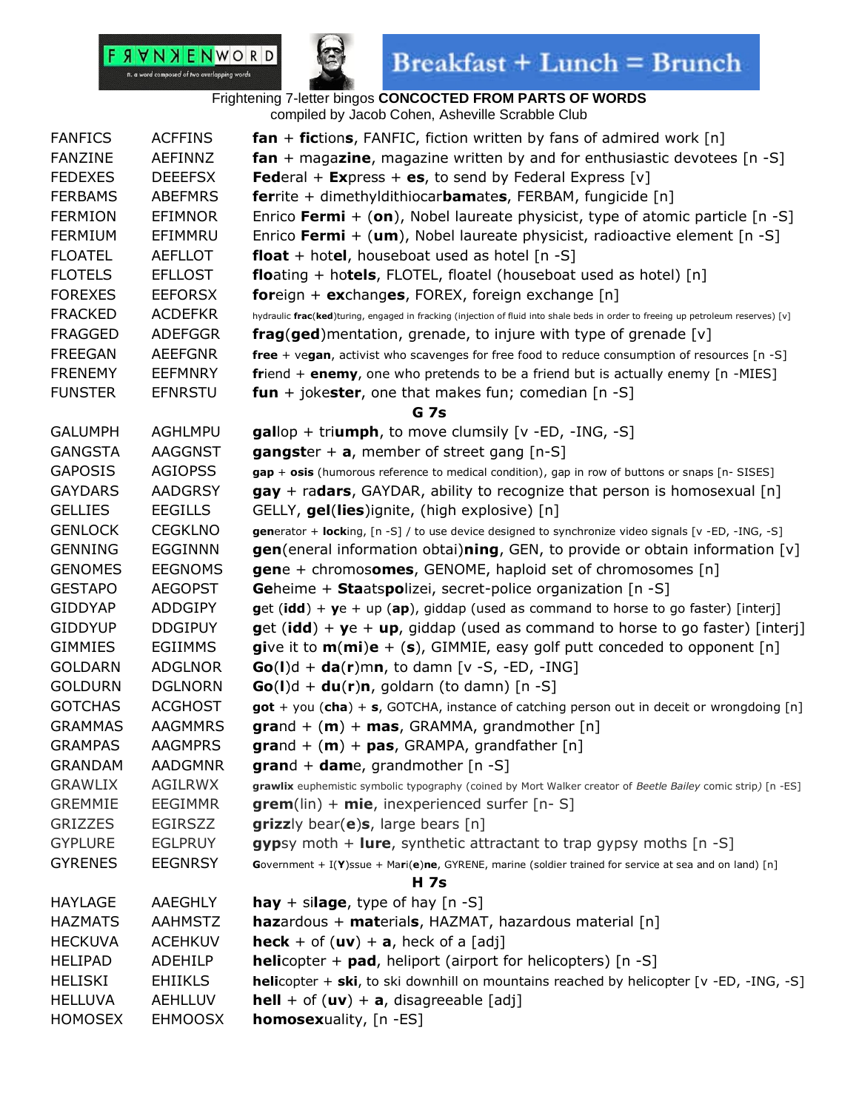

## $\textbf{Breakfast} + \textbf{Lunch} = \textbf{Brunch}$

| <b>FANFICS</b> | <b>ACFFINS</b> | $fan + fictions$ , FANFIC, fiction written by fans of admired work $[n]$                                                          |
|----------------|----------------|-----------------------------------------------------------------------------------------------------------------------------------|
| <b>FANZINE</b> | AEFINNZ        | <b>fan</b> + magazine, magazine written by and for enthusiastic devotees $[n - S]$                                                |
| <b>FEDEXES</b> | <b>DEEEFSX</b> | <b>Federal + Express + es, to send by Federal Express</b> [v]                                                                     |
| <b>FERBAMS</b> | <b>ABEFMRS</b> | <b>ferrite</b> + dimethyldithiocar <b>bamates</b> , FERBAM, fungicide [n]                                                         |
| <b>FERMION</b> | <b>EFIMNOR</b> | Enrico Fermi + (on), Nobel laureate physicist, type of atomic particle $[n -S]$                                                   |
| <b>FERMIUM</b> | EFIMMRU        | Enrico Fermi + (um), Nobel laureate physicist, radioactive element $[n -S]$                                                       |
| <b>FLOATEL</b> | <b>AEFLLOT</b> | <b>float</b> + hotel, houseboat used as hotel $[n -S]$                                                                            |
| <b>FLOTELS</b> | <b>EFLLOST</b> | <b>floating + hotels, FLOTEL, floatel (houseboat used as hotel)</b> $[n]$                                                         |
| <b>FOREXES</b> | <b>EEFORSX</b> | <b>foreign + exchanges, FOREX, foreign exchange [n]</b>                                                                           |
| <b>FRACKED</b> | <b>ACDEFKR</b> | hydraulic frac(ked)turing, engaged in fracking (injection of fluid into shale beds in order to freeing up petroleum reserves) [v] |
| <b>FRAGGED</b> | <b>ADEFGGR</b> | <b>frag(ged)</b> mentation, grenade, to injure with type of grenade [v]                                                           |
| <b>FREEGAN</b> | <b>AEEFGNR</b> | free + vegan, activist who scavenges for free food to reduce consumption of resources [n -S]                                      |
| <b>FRENEMY</b> | <b>EEFMNRY</b> | friend + enemy, one who pretends to be a friend but is actually enemy [n -MIES]                                                   |
| <b>FUNSTER</b> | <b>EFNRSTU</b> | <b>fun</b> + jokester, one that makes fun; comedian $[n -S]$                                                                      |
|                |                | <b>G</b> 7s                                                                                                                       |
| <b>GALUMPH</b> | <b>AGHLMPU</b> | $gallop$ + triumph, to move clumsily $[v - ED, -ING, -S]$                                                                         |
| <b>GANGSTA</b> | <b>AAGGNST</b> | <b>gangster</b> + $a$ , member of street gang $[n-S]$                                                                             |
| <b>GAPOSIS</b> | <b>AGIOPSS</b> | gap + osis (humorous reference to medical condition), gap in row of buttons or snaps [n- SISES]                                   |
| <b>GAYDARS</b> | <b>AADGRSY</b> | $\mathbf{gay}$ + radars, GAYDAR, ability to recognize that person is homosexual [n]                                               |
| <b>GELLIES</b> | <b>EEGILLS</b> | GELLY, gel(lies)ignite, (high explosive) [n]                                                                                      |
| <b>GENLOCK</b> | <b>CEGKLNO</b> | generator + locking, [n -S] / to use device designed to synchronize video signals [v -ED, -ING, -S]                               |
| <b>GENNING</b> | <b>EGGINNN</b> | <b>gen</b> (eneral information obtai)ning, GEN, to provide or obtain information $[v]$                                            |
| <b>GENOMES</b> | <b>EEGNOMS</b> | <b>gen</b> e + chromosomes, GENOME, haploid set of chromosomes $[n]$                                                              |
| <b>GESTAPO</b> | <b>AEGOPST</b> | <b>Geheime + Staatspolizei, secret-police organization</b> [n -S]                                                                 |
| <b>GIDDYAP</b> | <b>ADDGIPY</b> | $get (idd) + ye + up (ap)$ , giddap (used as command to horse to go faster) [interj]                                              |
| <b>GIDDYUP</b> | <b>DDGIPUY</b> | $get (idd) + ye + up$ , giddap (used as command to horse to go faster) [interj]                                                   |
| <b>GIMMIES</b> | <b>EGIIMMS</b> | give it to $m(mi)e + (s)$ , GIMMIE, easy golf putt conceded to opponent [n]                                                       |
| <b>GOLDARN</b> | <b>ADGLNOR</b> | $Go(I)d + da(r)mn$ , to damn [v -S, -ED, -ING]                                                                                    |
| <b>GOLDURN</b> | <b>DGLNORN</b> | $Go(I)d + du(r)n$ , goldarn (to damn) [n -S]                                                                                      |
| <b>GOTCHAS</b> | <b>ACGHOST</b> | got + you (cha) + s, GOTCHA, instance of catching person out in deceit or wrongdoing [n]                                          |
| <b>GRAMMAS</b> | <b>AAGMMRS</b> | $\text{grand} + (\text{m}) + \text{mas}$ , GRAMMA, grandmother [n]                                                                |
| <b>GRAMPAS</b> | <b>AAGMPRS</b> | <b>gra</b> nd + $(m)$ + <b>pas</b> , GRAMPA, grandfather $[n]$                                                                    |
| <b>GRANDAM</b> | <b>AADGMNR</b> | <b>grand</b> + <b>dame</b> , grandmother $[n -S]$                                                                                 |
| <b>GRAWLIX</b> | <b>AGILRWX</b> | grawlix euphemistic symbolic typography (coined by Mort Walker creator of Beetle Bailey comic strip) [n -ES]                      |
| <b>GREMMIE</b> | <b>EEGIMMR</b> | $\text{green}(\text{lin}) + \text{mie}$ , inexperienced surfer [n-S]                                                              |
| <b>GRIZZES</b> | EGIRSZZ        | grizzly bear( $e$ )s, large bears [n]                                                                                             |
| <b>GYPLURE</b> | <b>EGLPRUY</b> | gypsy moth $+$ lure, synthetic attractant to trap gypsy moths $[n - S]$                                                           |
| <b>GYRENES</b> | <b>EEGNRSY</b> | Government + I(Y)ssue + Mari(e)ne, GYRENE, marine (soldier trained for service at sea and on land) [n]                            |
|                |                | <b>H</b> 7s                                                                                                                       |
| <b>HAYLAGE</b> | AAEGHLY        | hay + silage, type of hay $[n - S]$                                                                                               |
| <b>HAZMATS</b> | <b>AAHMSTZ</b> | hazardous + materials, HAZMAT, hazardous material [n]                                                                             |
| <b>HECKUVA</b> | <b>ACEHKUV</b> | <b>heck</b> + of (uv) + a, heck of a [adj]                                                                                        |
| <b>HELIPAD</b> | ADEHILP        | <b>helicopter + pad, heliport (airport for helicopters)</b> [n -S]                                                                |
| <b>HELISKI</b> | <b>EHIIKLS</b> | helicopter + ski, to ski downhill on mountains reached by helicopter [v -ED, -ING, -S]                                            |
| <b>HELLUVA</b> | <b>AEHLLUV</b> | <b>hell</b> + of (uv) + $a$ , disagreeable [adj]                                                                                  |
| <b>HOMOSEX</b> | <b>EHMOOSX</b> | <b>homosexuality, [n -ES]</b>                                                                                                     |
|                |                |                                                                                                                                   |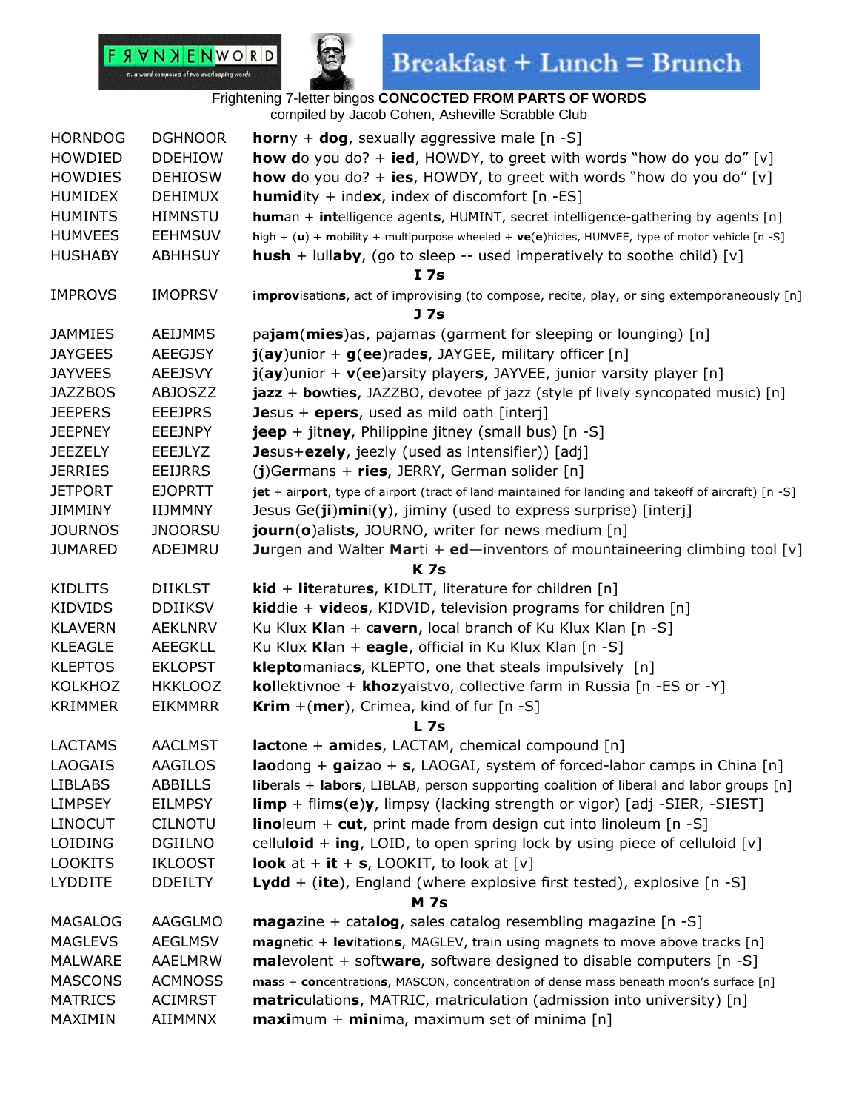

| <b>DGHNOOR</b><br><b>horn</b> y + <b>dog</b> , sexually aggressive male $[n -S]$<br><b>HORNDOG</b><br><b>how do</b> you do? + <b>ied</b> , HOWDY, to greet with words "how do you do" [v]<br>HOWDIED<br><b>DDEHIOW</b> |  |
|------------------------------------------------------------------------------------------------------------------------------------------------------------------------------------------------------------------------|--|
| <b>how do</b> you do? + <b>ies</b> , HOWDY, to greet with words "how do you do" [v]<br><b>HOWDIES</b><br><b>DEHIOSW</b>                                                                                                |  |
| <b>HUMIDEX</b><br><b>DEHIMUX</b><br><b>humidity</b> + index, index of discomfort $[n - ES]$                                                                                                                            |  |
| <b>HUMINTS</b><br><b>HIMNSTU</b><br><b>human + intelligence agents, HUMINT, secret intelligence-gathering by agents [n]</b>                                                                                            |  |
| <b>EEHMSUV</b><br>high + (u) + mobility + multipurpose wheeled + $ve(e)$ hicles, HUMVEE, type of motor vehicle [n -S]<br><b>HUMVEES</b>                                                                                |  |
| <b>hush</b> + lullaby, (go to sleep -- used imperatively to soothe child) [v]<br><b>HUSHABY</b><br><b>ABHHSUY</b>                                                                                                      |  |
| I <sub>7s</sub>                                                                                                                                                                                                        |  |
| <b>IMPROVS</b><br><b>IMOPRSV</b><br>improvisations, act of improvising (to compose, recite, play, or sing extemporaneously [n]                                                                                         |  |
| J <sub>7s</sub>                                                                                                                                                                                                        |  |
| pajam(mies)as, pajamas (garment for sleeping or lounging) [n]<br><b>JAMMIES</b><br><b>AEIJMMS</b>                                                                                                                      |  |
| $\mathbf{j}(ay)$ unior + $\mathbf{g}(ee)$ rades, JAYGEE, military officer [n]<br><b>JAYGEES</b><br><b>AEEGJSY</b>                                                                                                      |  |
| <b>JAYVEES</b><br>$\mathbf{j}(\mathbf{ay})$ unior + $\mathbf{v}(\mathbf{ee})$ arsity players, JAYVEE, junior varsity player [n]<br><b>AEEJSVY</b>                                                                      |  |
| jazz + bowties, JAZZBO, devotee pf jazz (style pf lively syncopated music) [n]<br><b>JAZZBOS</b><br><b>ABJOSZZ</b>                                                                                                     |  |
| <b>JEEPERS</b><br><b>EEEJPRS</b><br>Jesus $+$ epers, used as mild oath [interj]                                                                                                                                        |  |
| <b>JEEPNEY</b><br><b>EEEJNPY</b><br><b>jeep</b> + jitney, Philippine jitney (small bus) $[n -S]$                                                                                                                       |  |
| <b>JEEZELY</b><br>Jesus+ezely, jeezly (used as intensifier)) [adj]<br><b>EEEJLYZ</b>                                                                                                                                   |  |
| $(j)$ Germans + ries, JERRY, German solider [n]<br><b>JERRIES</b><br><b>EEIJRRS</b>                                                                                                                                    |  |
| <b>JETPORT</b><br><b>EJOPRTT</b><br>jet + airport, type of airport (tract of land maintained for landing and takeoff of aircraft) [n -S]                                                                               |  |
| Jesus $Ge(ji)min(y)$ , jiminy (used to express surprise) [interj]<br><b>JIMMINY</b><br>IIJMMNY                                                                                                                         |  |
| <b>JOURNOS</b><br><b>JNOORSU</b><br>journ(o)alists, JOURNO, writer for news medium [n]                                                                                                                                 |  |
| <b>Jurgen and Walter Marti + ed</b> —inventors of mountaineering climbing tool [v]<br><b>JUMARED</b><br>ADEJMRU                                                                                                        |  |
| <b>K7s</b>                                                                                                                                                                                                             |  |
| <b>KIDLITS</b><br><b>DIIKLST</b><br>$kid + literatures, KIDLIT, literature for children [n]$                                                                                                                           |  |
| <b>KIDVIDS</b><br><b>DDIIKSV</b><br><b>kid</b> die + <b>videos</b> , KIDVID, television programs for children $[n]$                                                                                                    |  |
| Ku Klux Klan + cavern, local branch of Ku Klux Klan $[n -S]$<br><b>KLAVERN</b><br><b>AEKLNRV</b>                                                                                                                       |  |
| Ku Klux Klan + eagle, official in Ku Klux Klan [n -S]<br><b>KLEAGLE</b><br><b>AEEGKLL</b>                                                                                                                              |  |
| <b>KLEPTOS</b><br>kleptomaniacs, KLEPTO, one that steals impulsively [n]<br><b>EKLOPST</b>                                                                                                                             |  |
| <b>KOLKHOZ</b><br><b>HKKLOOZ</b><br><b>kollektivnoe + khozyaistvo, collective farm in Russia [n -ES or -Y]</b>                                                                                                         |  |
| Krim +(mer), Crimea, kind of fur [n -S]<br><b>KRIMMER</b><br><b>EIKMMRR</b>                                                                                                                                            |  |
| L <sub>7s</sub>                                                                                                                                                                                                        |  |
| $lactone + amides, LACTAM, chemical compound [n]$<br><b>LACTAMS</b><br><b>AACLMST</b>                                                                                                                                  |  |
| <b>LAOGAIS</b><br>AAGILOS<br><b>lao</b> dong + gaizao + s, LAOGAI, system of forced-labor camps in China $[n]$                                                                                                         |  |
| <b>ABBILLS</b><br><b>LIBLABS</b><br><b>liberals + labors,</b> LIBLAB, person supporting coalition of liberal and labor groups $[n]$                                                                                    |  |
| $\lim p + \lim s(e)y$ , limpsy (lacking strength or vigor) [adj -SIER, -SIEST]<br><b>LIMPSEY</b><br><b>EILMPSY</b>                                                                                                     |  |
| <b>LINOCUT</b><br><b>linoleum + cut</b> , print made from design cut into linoleum $[n -S]$<br><b>CILNOTU</b>                                                                                                          |  |
| LOIDING<br><b>DGIILNO</b><br>celluloid $+$ ing, LOID, to open spring lock by using piece of celluloid [ $v$ ]                                                                                                          |  |
| <b>LOOKITS</b><br><b>IKLOOST</b><br><b>look</b> at + it + s, LOOKIT, to look at $[v]$                                                                                                                                  |  |
| <b>LYDDITE</b><br><b>DDEILTY</b><br>Lydd + (ite), England (where explosive first tested), explosive $[n -S]$                                                                                                           |  |
| <b>M</b> 7s                                                                                                                                                                                                            |  |
| <b>maga</b> zine + catalog, sales catalog resembling magazine $[n -S]$<br>MAGALOG<br>AAGGLMO                                                                                                                           |  |
| <b>MAGLEVS</b><br><b>AEGLMSV</b><br>magnetic + levitations, MAGLEV, train using magnets to move above tracks [n]                                                                                                       |  |
| <b>MALWARE</b><br><b>AAELMRW</b><br><b>malevolent</b> + software, software designed to disable computers $[n -S]$                                                                                                      |  |
| <b>MASCONS</b><br><b>ACMNOSS</b><br>mass + concentrations, MASCON, concentration of dense mass beneath moon's surface [n]                                                                                              |  |
| <b>MATRICS</b><br><b>ACIMRST</b><br>matriculations, MATRIC, matriculation (admission into university) [n]                                                                                                              |  |
| MAXIMIN<br>AIIMMNX<br>$maximum + minima$ , maximum set of minima [n]                                                                                                                                                   |  |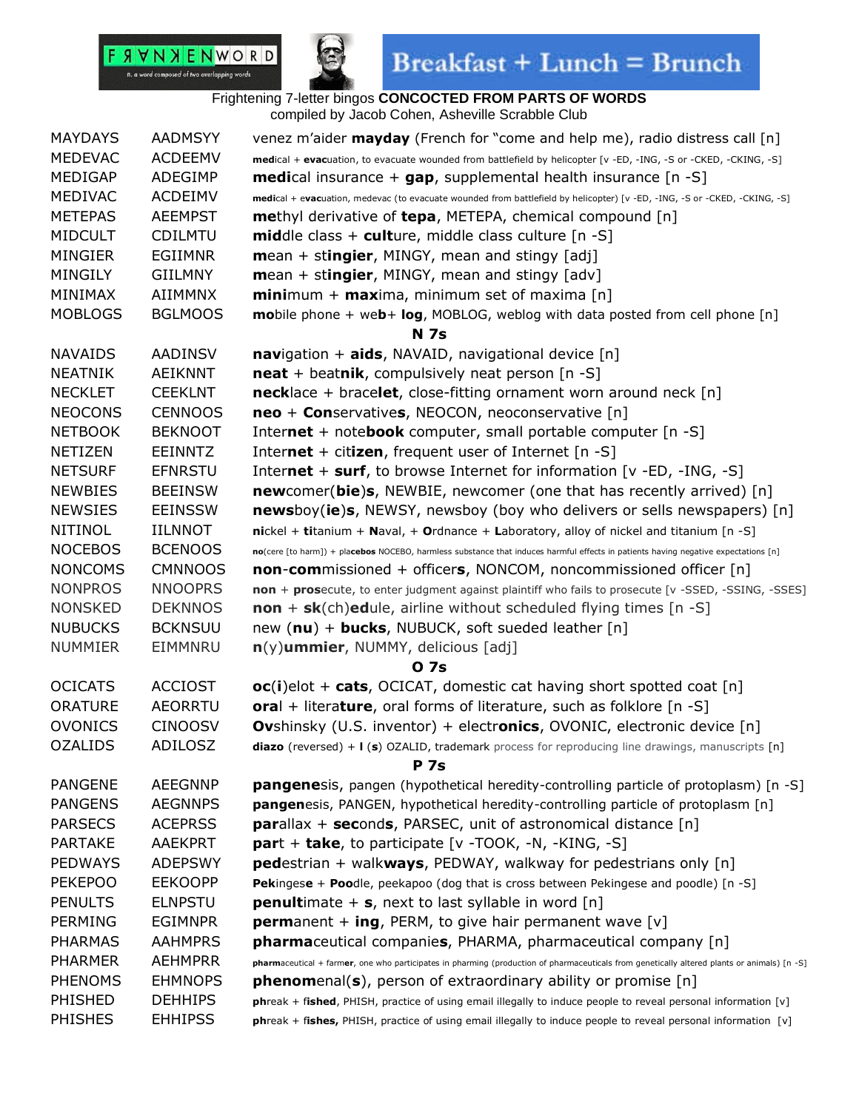

## $\textbf{Breakfast} + \textbf{Lunch} = \textbf{Brunch}$

### Frightening 7-letter bingos **CONCOCTED FROM PARTS OF WORDS**

compiled by Jacob Cohen, Asheville Scrabble Club

| <b>MAYDAYS</b> | <b>AADMSYY</b> | venez m'aider <b>mayday</b> (French for "come and help me), radio distress call [n]                                                         |
|----------------|----------------|---------------------------------------------------------------------------------------------------------------------------------------------|
| <b>MEDEVAC</b> | <b>ACDEEMV</b> | medical + evacuation, to evacuate wounded from battlefield by helicopter [v -ED, -ING, -S or -CKED, -CKING, -S]                             |
| MEDIGAP        | ADEGIMP        | <b>medi</b> cal insurance $+$ <b>gap</b> , supplemental health insurance $[n -S]$                                                           |
| MEDIVAC        | <b>ACDEIMV</b> | medical + evacuation, medevac (to evacuate wounded from battlefield by helicopter) [v -ED, -ING, -S or -CKED, -CKING, -S]                   |
| <b>METEPAS</b> | <b>AEEMPST</b> | <b>methyl derivative of tepa, METEPA, chemical compound [n]</b>                                                                             |
| <b>MIDCULT</b> | CDILMTU        | <b>middle</b> class + culture, middle class culture $[n -S]$                                                                                |
| <b>MINGIER</b> | <b>EGIIMNR</b> | $mean + stringier$ , MINGY, mean and stingy [adj]                                                                                           |
| <b>MINGILY</b> | <b>GIILMNY</b> | mean + stingier, MINGY, mean and stingy [adv]                                                                                               |
| MINIMAX        | AIIMMNX        | <b>mini</b> mum + <b>max</b> ima, minimum set of maxima $[n]$                                                                               |
| <b>MOBLOGS</b> | <b>BGLMOOS</b> | mobile phone + web+ log, MOBLOG, weblog with data posted from cell phone [n]                                                                |
|                |                | <b>N</b> 7s                                                                                                                                 |
| <b>NAVAIDS</b> | AADINSV        | navigation + aids, NAVAID, navigational device [n]                                                                                          |
| <b>NEATNIK</b> | AEIKNNT        | $\text{neat}$ + beatnik, compulsively neat person [n -S]                                                                                    |
| <b>NECKLET</b> | <b>CEEKLNT</b> | <b>necklace</b> + bracelet, close-fitting ornament worn around neck $[n]$                                                                   |
| <b>NEOCONS</b> | <b>CENNOOS</b> | neo + Conservatives, NEOCON, neoconservative [n]                                                                                            |
| <b>NETBOOK</b> | <b>BEKNOOT</b> | Internet + notebook computer, small portable computer $[n -S]$                                                                              |
| <b>NETIZEN</b> | <b>EEINNTZ</b> | Internet + citizen, frequent user of Internet $[n -S]$                                                                                      |
| <b>NETSURF</b> | <b>EFNRSTU</b> | Internet $+$ surf, to browse Internet for information [ $v$ -ED, -ING, -S]                                                                  |
| <b>NEWBIES</b> | <b>BEEINSW</b> | newcomer(bie)s, NEWBIE, newcomer (one that has recently arrived) [n]                                                                        |
| <b>NEWSIES</b> | <b>EEINSSW</b> | <b>newsboy(ie)s, NEWSY, newsboy (boy who delivers or sells newspapers)</b> [n]                                                              |
| <b>NITINOL</b> | <b>IILNNOT</b> | $nickel + titanium + Naval$ , + Ordnance + Laboratory, alloy of nickel and titanium $[n - S]$                                               |
| <b>NOCEBOS</b> | <b>BCENOOS</b> | no(cere [to harm]) + placebos NOCEBO, harmless substance that induces harmful effects in patients having negative expectations [n]          |
| <b>NONCOMS</b> | <b>CMNNOOS</b> | <b>non-com</b> missioned + officers, NONCOM, noncommissioned officer [n]                                                                    |
| <b>NONPROS</b> | <b>NNOOPRS</b> | non + prosecute, to enter judgment against plaintiff who fails to prosecute [v -SSED, -SSING, -SSES]                                        |
| <b>NONSKED</b> | <b>DEKNNOS</b> | $\mathsf{non} + \mathsf{sk}(\mathsf{ch})$ edule, airline without scheduled flying times [n -S]                                              |
| <b>NUBUCKS</b> | <b>BCKNSUU</b> | new $(nu)$ + <b>bucks</b> , NUBUCK, soft sueded leather $[n]$                                                                               |
| <b>NUMMIER</b> | EIMMNRU        | $n(y)$ ummier, NUMMY, delicious [adj]                                                                                                       |
|                |                | 0 7s                                                                                                                                        |
| <b>OCICATS</b> | <b>ACCIOST</b> | $oc(i)$ elot + cats, OCICAT, domestic cat having short spotted coat [n]                                                                     |
| <b>ORATURE</b> | <b>AEORRTU</b> | oral + literature, oral forms of literature, such as folklore $[n -S]$                                                                      |
| <b>OVONICS</b> | <b>CINOOSV</b> | <b>Ovshinsky (U.S. inventor) + electronics, OVONIC, electronic device [n]</b>                                                               |
| <b>OZALIDS</b> | ADILOSZ        | diazo (reversed) + I (s) OZALID, trademark process for reproducing line drawings, manuscripts [n]                                           |
|                |                | <b>P</b> 7s                                                                                                                                 |
| <b>PANGENE</b> | <b>AEEGNNP</b> | <b>pangene</b> sis, pangen (hypothetical heredity-controlling particle of protoplasm) [n -S]                                                |
| <b>PANGENS</b> | <b>AEGNNPS</b> | pangenesis, PANGEN, hypothetical heredity-controlling particle of protoplasm [n]                                                            |
| <b>PARSECS</b> | <b>ACEPRSS</b> | <b>parallax + seconds, PARSEC, unit of astronomical distance</b> $[n]$                                                                      |
| <b>PARTAKE</b> | <b>AAEKPRT</b> | part + take, to participate [v -TOOK, -N, -KING, -S]                                                                                        |
| <b>PEDWAYS</b> | <b>ADEPSWY</b> | <b>pedestrian</b> + walk <b>ways</b> , PEDWAY, walkway for pedestrians only $[n]$                                                           |
| <b>PEKEPOO</b> | <b>EEKOOPP</b> | Pekingese + Poodle, peekapoo (dog that is cross between Pekingese and poodle) [n -S]                                                        |
| <b>PENULTS</b> | <b>ELNPSTU</b> | <b>penultimate + s, next to last syllable in word [n]</b>                                                                                   |
| <b>PERMING</b> | <b>EGIMNPR</b> | <b>permanent + ing, PERM, to give hair permanent wave [v]</b>                                                                               |
| <b>PHARMAS</b> | <b>AAHMPRS</b> | <b>pharma</b> ceutical companies, PHARMA, pharmaceutical company [n]                                                                        |
| <b>PHARMER</b> | <b>AEHMPRR</b> | pharmaceutical + farmer, one who participates in pharming (production of pharmaceuticals from genetically altered plants or animals) [n -S] |
| <b>PHENOMS</b> | <b>EHMNOPS</b> | phenomenal(s), person of extraordinary ability or promise [n]                                                                               |
| PHISHED        | <b>DEHHIPS</b> | phreak + fished, PHISH, practice of using email illegally to induce people to reveal personal information [v]                               |
| <b>PHISHES</b> | <b>EHHIPSS</b> | phreak + fishes, PHISH, practice of using email illegally to induce people to reveal personal information [v]                               |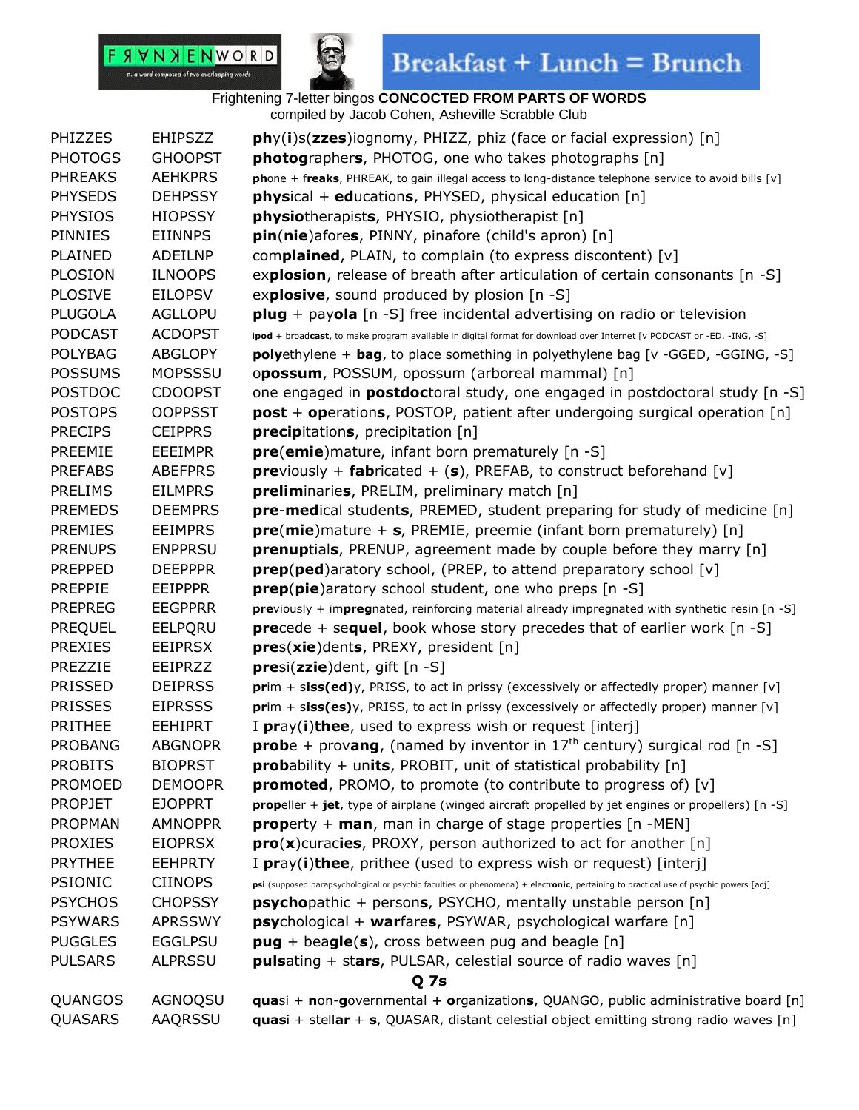



## $\textbf{Breakfast} + \textbf{Lunch} = \textbf{Brunch}$

| PHIZZES        | <b>EHIPSZZ</b> | phy(i)s(zzes)iognomy, PHIZZ, phiz (face or facial expression) [n]                                                                    |
|----------------|----------------|--------------------------------------------------------------------------------------------------------------------------------------|
| <b>PHOTOGS</b> | <b>GHOOPST</b> | photographers, PHOTOG, one who takes photographs [n]                                                                                 |
| <b>PHREAKS</b> | <b>AEHKPRS</b> | phone + freaks, PHREAK, to gain illegal access to long-distance telephone service to avoid bills [v]                                 |
| <b>PHYSEDS</b> | <b>DEHPSSY</b> | <b>physical + educations, PHYSED, physical education</b> [n]                                                                         |
| <b>PHYSIOS</b> | <b>HIOPSSY</b> | <b>physiotherapists, PHYSIO, physiotherapist</b> [n]                                                                                 |
| <b>PINNIES</b> | <b>EIINNPS</b> | pin(nie)afores, PINNY, pinafore (child's apron) [n]                                                                                  |
| <b>PLAINED</b> | ADEILNP        | complained, PLAIN, to complain (to express discontent) [v]                                                                           |
| <b>PLOSION</b> | <b>ILNOOPS</b> | explosion, release of breath after articulation of certain consonants [n -S]                                                         |
| <b>PLOSIVE</b> | <b>EILOPSV</b> | explosive, sound produced by plosion [n -S]                                                                                          |
| <b>PLUGOLA</b> | <b>AGLLOPU</b> | $plug + payola$ [n -S] free incidental advertising on radio or television                                                            |
| <b>PODCAST</b> | <b>ACDOPST</b> | ipod + broadcast, to make program available in digital format for download over Internet [v PODCAST or -ED. -ING, -S]                |
| <b>POLYBAG</b> | <b>ABGLOPY</b> | polyethylene + bag, to place something in polyethylene bag [v -GGED, -GGING, -S]                                                     |
| <b>POSSUMS</b> | <b>MOPSSSU</b> | opossum, POSSUM, opossum (arboreal mammal) [n]                                                                                       |
| <b>POSTDOC</b> | <b>CDOOPST</b> | one engaged in <b>postdoc</b> toral study, one engaged in postdoctoral study [n -S]                                                  |
| <b>POSTOPS</b> | <b>OOPPSST</b> | <b>post + operations, POSTOP, patient after undergoing surgical operation [n]</b>                                                    |
| <b>PRECIPS</b> | <b>CEIPPRS</b> | precipitations, precipitation [n]                                                                                                    |
| <b>PREEMIE</b> | <b>EEEIMPR</b> | pre(emie) mature, infant born prematurely [n -S]                                                                                     |
| <b>PREFABS</b> | <b>ABEFPRS</b> | <b>pre</b> viously + <b>fabricated + (s)</b> , PREFAB, to construct beforehand [v]                                                   |
| <b>PRELIMS</b> | <b>EILMPRS</b> | preliminaries, PRELIM, preliminary match [n]                                                                                         |
| <b>PREMEDS</b> | <b>DEEMPRS</b> | pre-medical students, PREMED, student preparing for study of medicine [n]                                                            |
| <b>PREMIES</b> | <b>EEIMPRS</b> | $pre(mie)$ mature + s, PREMIE, preemie (infant born prematurely) [n]                                                                 |
| <b>PRENUPS</b> | <b>ENPPRSU</b> | prenuptials, PRENUP, agreement made by couple before they marry [n]                                                                  |
| <b>PREPPED</b> | <b>DEEPPPR</b> |                                                                                                                                      |
|                |                | <b>prep(ped)</b> aratory school, (PREP, to attend preparatory school [v]                                                             |
| <b>PREPPIE</b> | EEIPPPR        | <b>prep(pie)</b> aratory school student, one who preps [n -S]                                                                        |
| <b>PREPREG</b> | <b>EEGPPRR</b> | previously + impregnated, reinforcing material already impregnated with synthetic resin [n -S]                                       |
| <b>PREQUEL</b> | EELPQRU        | <b>precede + sequel, book whose story precedes that of earlier work [n -S]</b>                                                       |
| <b>PREXIES</b> | <b>EEIPRSX</b> | pres(xie)dents, PREXY, president [n]                                                                                                 |
| PREZZIE        | EEIPRZZ        | $pres(zzie)$ dent, gift $[n-S]$                                                                                                      |
| <b>PRISSED</b> | <b>DEIPRSS</b> | prim + siss(ed)y, PRISS, to act in prissy (excessively or affectedly proper) manner [v]                                              |
| <b>PRISSES</b> | <b>EIPRSSS</b> | $\text{prim} + \text{sis}(es)y$ , PRISS, to act in prissy (excessively or affectedly proper) manner [v]                              |
| <b>PRITHEE</b> | <b>EEHIPRT</b> | I pray(i)thee, used to express wish or request [interj]                                                                              |
| <b>PROBANG</b> | <b>ABGNOPR</b> | <b>prob</b> e + provang, (named by inventor in $17th$ century) surgical rod [n -S]                                                   |
| <b>PROBITS</b> | <b>BIOPRST</b> | <b>prob</b> ability + units, PROBIT, unit of statistical probability $[n]$                                                           |
| <b>PROMOED</b> | <b>DEMOOPR</b> | <b>promoted</b> , PROMO, to promote (to contribute to progress of) $[v]$                                                             |
| <b>PROPJET</b> | <b>EJOPPRT</b> | propeller + jet, type of airplane (winged aircraft propelled by jet engines or propellers) [n -S]                                    |
| <b>PROPMAN</b> | <b>AMNOPPR</b> | <b>property</b> + <b>man</b> , man in charge of stage properties $[n - MEN]$                                                         |
| <b>PROXIES</b> | <b>EIOPRSX</b> | $\text{pro}(x)$ curacies, PROXY, person authorized to act for another [n]                                                            |
| <b>PRYTHEE</b> | <b>EEHPRTY</b> | I pray(i)thee, prithee (used to express wish or request) [interj]                                                                    |
| <b>PSIONIC</b> | <b>CIINOPS</b> | psi (supposed parapsychological or psychic faculties or phenomena) + electronic, pertaining to practical use of psychic powers [adj] |
| <b>PSYCHOS</b> | <b>CHOPSSY</b> | <b>psycho</b> pathic + persons, PSYCHO, mentally unstable person [n]                                                                 |
| <b>PSYWARS</b> | <b>APRSSWY</b> | <b>psy</b> chological + warfares, PSYWAR, psychological warfare [n]                                                                  |
| <b>PUGGLES</b> | <b>EGGLPSU</b> | $pug + beagle(s)$ , cross between pug and beagle [n]                                                                                 |
| <b>PULSARS</b> | <b>ALPRSSU</b> | <b>puls</b> ating + stars, PULSAR, celestial source of radio waves [n]                                                               |
|                |                | Q 7s                                                                                                                                 |
| QUANGOS        | AGNOQSU        | <b>quasi</b> + non-governmental + organizations, QUANGO, public administrative board [n]                                             |
| QUASARS        | AAQRSSU        | <b>quasi</b> + stellar + s, QUASAR, distant celestial object emitting strong radio waves $[n]$                                       |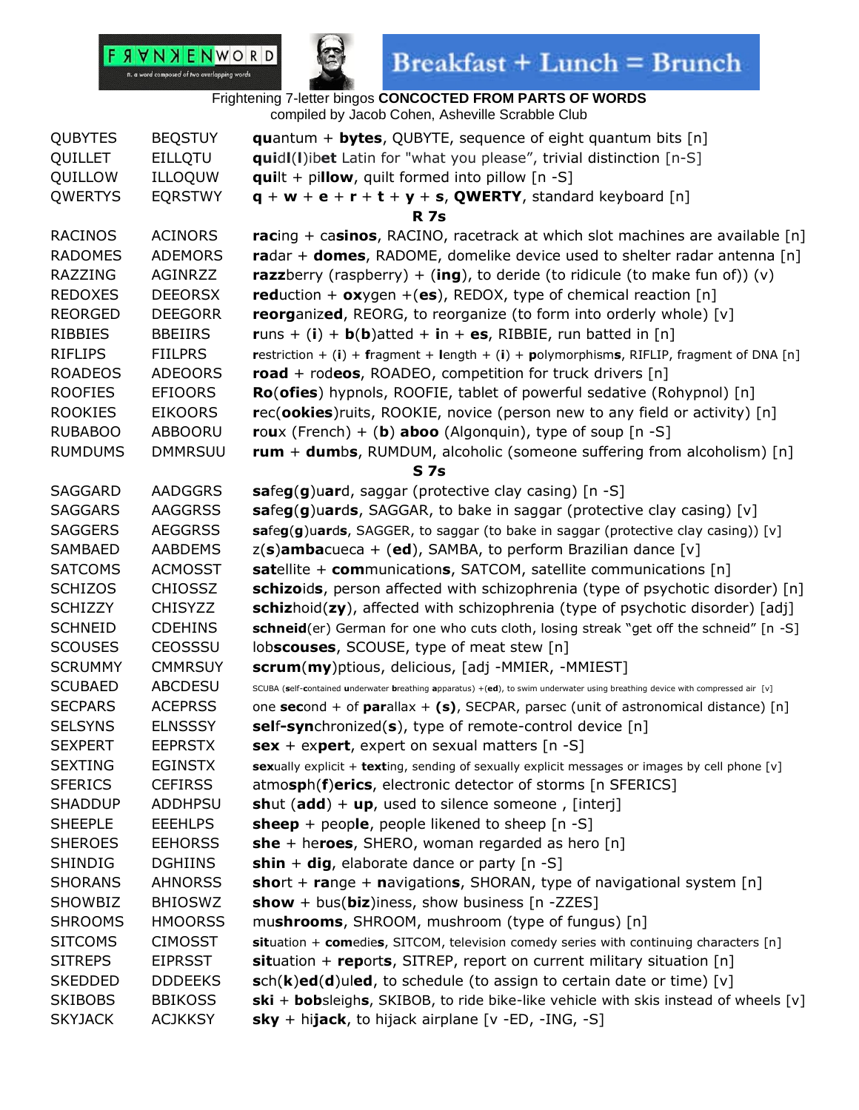

 $\textbf{Breakfast} + \textbf{Lunch} = \textbf{Brunch}$ 

| <b>QUBYTES</b> | <b>BEQSTUY</b> | <b>quantum + bytes, QUBYTE, sequence of eight quantum bits [n]</b>                                                             |
|----------------|----------------|--------------------------------------------------------------------------------------------------------------------------------|
| QUILLET        | <b>EILLQTU</b> | <b>quidl(I)ibet</b> Latin for "what you please", trivial distinction [n-S]                                                     |
| QUILLOW        | ILLOQUW        | $quilt + pillow$ , quilt formed into pillow [n -S]                                                                             |
| <b>QWERTYS</b> | <b>EQRSTWY</b> | $q + w + e + r + t + y + s$ , QWERTY, standard keyboard [n]                                                                    |
|                |                | <b>R</b> 7s                                                                                                                    |
| <b>RACINOS</b> | <b>ACINORS</b> | racing + casinos, RACINO, racetrack at which slot machines are available [n]                                                   |
| <b>RADOMES</b> | <b>ADEMORS</b> | radar + domes, RADOME, domelike device used to shelter radar antenna $[n]$                                                     |
| RAZZING        | AGINRZZ        | <b>razz</b> berry (raspberry) + (ing), to deride (to ridicule (to make fun of)) (v)                                            |
| <b>REDOXES</b> | <b>DEEORSX</b> | reduction + $o$ xygen +(es), REDOX, type of chemical reaction [n]                                                              |
| <b>REORGED</b> | <b>DEEGORR</b> | <b>reorganized, REORG, to reorganize (to form into orderly whole)</b> [v]                                                      |
| <b>RIBBIES</b> | <b>BBEIIRS</b> | runs + (i) + $b(b)$ atted + in + es, RIBBIE, run batted in [n]                                                                 |
| <b>RIFLIPS</b> | <b>FIILPRS</b> | restriction + $(i)$ + fragment + length + $(i)$ + polymorphisms, RIFLIP, fragment of DNA [n]                                   |
| <b>ROADEOS</b> | <b>ADEOORS</b> | road + rodeos, ROADEO, competition for truck drivers $[n]$                                                                     |
| <b>ROOFIES</b> | <b>EFIOORS</b> | Ro(ofies) hypnols, ROOFIE, tablet of powerful sedative (Rohypnol) [n]                                                          |
| <b>ROOKIES</b> | <b>EIKOORS</b> | rec(ookies) ruits, ROOKIE, novice (person new to any field or activity) [n]                                                    |
| <b>RUBABOO</b> | ABBOORU        | roux (French) + (b) aboo (Algonquin), type of soup $[n -S]$                                                                    |
| <b>RUMDUMS</b> | <b>DMMRSUU</b> | rum + dumbs, RUMDUM, alcoholic (someone suffering from alcoholism) [n]                                                         |
|                |                | S <sub>7s</sub>                                                                                                                |
| SAGGARD        | <b>AADGGRS</b> | safeg(g)uard, saggar (protective clay casing) [n -S]                                                                           |
| <b>SAGGARS</b> | <b>AAGGRSS</b> | safeg(g) uards, SAGGAR, to bake in saggar (protective clay casing) $[v]$                                                       |
| <b>SAGGERS</b> | <b>AEGGRSS</b> | safeg(g)uards, SAGGER, to saggar (to bake in saggar (protective clay casing)) [v]                                              |
| <b>SAMBAED</b> | <b>AABDEMS</b> | $z(s)$ ambacueca + (ed), SAMBA, to perform Brazilian dance [v]                                                                 |
| <b>SATCOMS</b> | <b>ACMOSST</b> | satellite + communications, SATCOM, satellite communications $[n]$                                                             |
| <b>SCHIZOS</b> | <b>CHIOSSZ</b> | schizoids, person affected with schizophrenia (type of psychotic disorder) [n]                                                 |
| <b>SCHIZZY</b> | <b>CHISYZZ</b> | schizhoid(zy), affected with schizophrenia (type of psychotic disorder) [adj]                                                  |
| <b>SCHNEID</b> | <b>CDEHINS</b> | schneid(er) German for one who cuts cloth, losing streak "get off the schneid" [n -S]                                          |
| <b>SCOUSES</b> | CEOSSSU        | lobscouses, SCOUSE, type of meat stew [n]                                                                                      |
| <b>SCRUMMY</b> | <b>CMMRSUY</b> | <b>scrum(my)</b> ptious, delicious, [adj -MMIER, -MMIEST]                                                                      |
| <b>SCUBAED</b> | <b>ABCDESU</b> | SCUBA (self-contained underwater breathing apparatus) +(ed), to swim underwater using breathing device with compressed air [v] |
| <b>SECPARS</b> | <b>ACEPRSS</b> | one second + of parallax + (s), SECPAR, parsec (unit of astronomical distance) [n]                                             |
| <b>SELSYNS</b> | <b>ELNSSSY</b> | self-synchronized(s), type of remote-control device [n]                                                                        |
| <b>SEXPERT</b> | <b>EEPRSTX</b> | $sex + expert$ , expert on sexual matters [n -S]                                                                               |
| <b>SEXTING</b> | <b>EGINSTX</b> | sexually explicit + texting, sending of sexually explicit messages or images by cell phone [v]                                 |
| <b>SFERICS</b> | <b>CEFIRSS</b> | atmosph(f)erics, electronic detector of storms [n SFERICS]                                                                     |
| <b>SHADDUP</b> | <b>ADDHPSU</b> | <b>shut (add)</b> + $up$ , used to silence someone, [interj]                                                                   |
| <b>SHEEPLE</b> | <b>EEEHLPS</b> | <b>sheep</b> + people, people likened to sheep $[n -S]$                                                                        |
| <b>SHEROES</b> | <b>EEHORSS</b> | she + heroes, SHERO, woman regarded as hero $[n]$                                                                              |
| <b>SHINDIG</b> | <b>DGHIINS</b> | shin + dig, elaborate dance or party $[n -S]$                                                                                  |
| <b>SHORANS</b> | <b>AHNORSS</b> | <b>short</b> + range + navigations, SHORAN, type of navigational system $[n]$                                                  |
| SHOWBIZ        | <b>BHIOSWZ</b> | show + bus(biz)iness, show business $[n - ZZES]$                                                                               |
| <b>SHROOMS</b> | <b>HMOORSS</b> | mushrooms, SHROOM, mushroom (type of fungus) [n]                                                                               |
| <b>SITCOMS</b> | <b>CIMOSST</b> | situation + comedies, SITCOM, television comedy series with continuing characters [n]                                          |
| <b>SITREPS</b> | <b>EIPRSST</b> | situation + reports, SITREP, report on current military situation $[n]$                                                        |
| <b>SKEDDED</b> | <b>DDDEEKS</b> | sch(k)ed(d)uled, to schedule (to assign to certain date or time) [v]                                                           |
| <b>SKIBOBS</b> | <b>BBIKOSS</b> | ski + bobsleighs, SKIBOB, to ride bike-like vehicle with skis instead of wheels [v]                                            |
| <b>SKYJACK</b> | <b>ACJKKSY</b> | <b>sky</b> + hijack, to hijack airplane $[v - ED, -ING, -S]$                                                                   |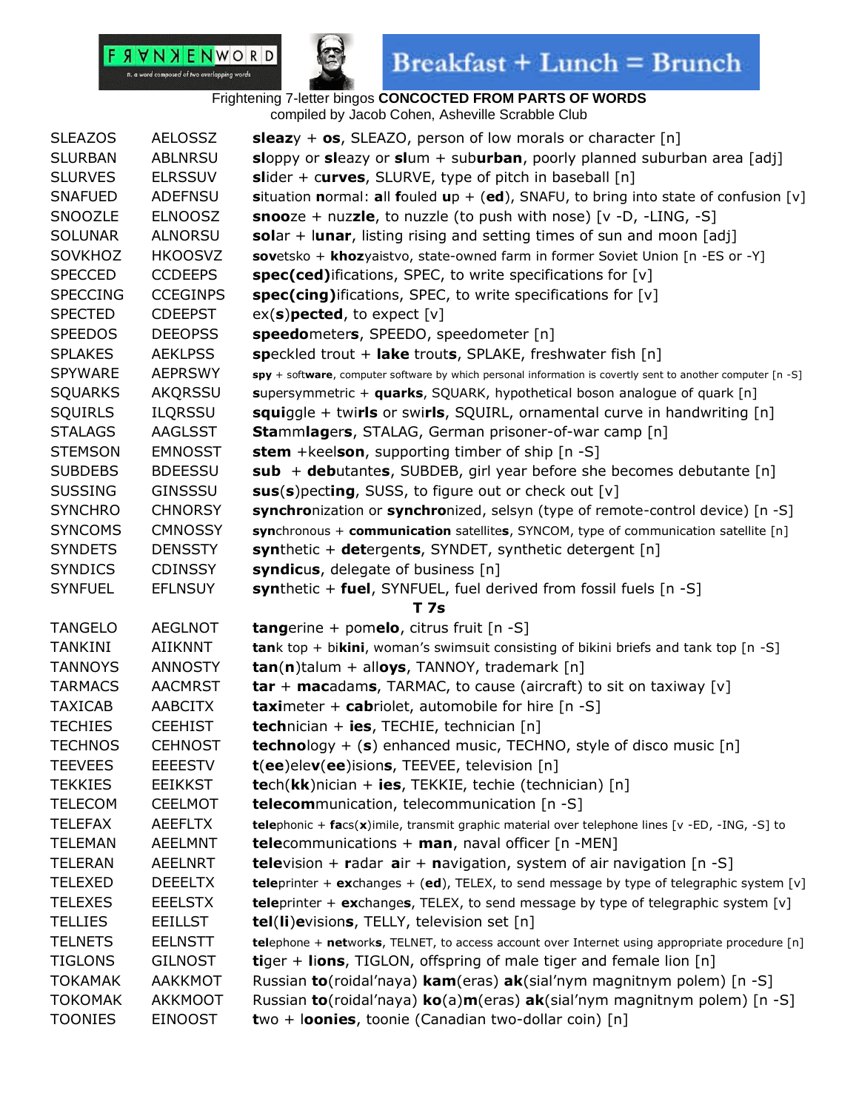

## $\textbf{Breakfast} + \textbf{Lunch} = \textbf{Brunch}$

| <b>SLEAZOS</b>  | <b>AELOSSZ</b>  | <b>sleazy</b> + <b>os</b> , SLEAZO, person of low morals or character [n]                                   |
|-----------------|-----------------|-------------------------------------------------------------------------------------------------------------|
| <b>SLURBAN</b>  | <b>ABLNRSU</b>  | sloppy or sleazy or slum + suburban, poorly planned suburban area [adj]                                     |
| <b>SLURVES</b>  | <b>ELRSSUV</b>  | slider + curves, SLURVE, type of pitch in baseball $[n]$                                                    |
| <b>SNAFUED</b>  | ADEFNSU         | situation normal: all fouled up + (ed), SNAFU, to bring into state of confusion [v]                         |
| SNOOZLE         | <b>ELNOOSZ</b>  | <b>snoo</b> ze + nuzzle, to nuzzle (to push with nose) $[v -D, -LING, -S]$                                  |
| <b>SOLUNAR</b>  | <b>ALNORSU</b>  | solar + lunar, listing rising and setting times of sun and moon [adj]                                       |
| SOVKHOZ         | <b>HKOOSVZ</b>  | sovetsko + khozyaistvo, state-owned farm in former Soviet Union [n -ES or -Y]                               |
| <b>SPECCED</b>  | <b>CCDEEPS</b>  | spec(ced)ifications, SPEC, to write specifications for [v]                                                  |
| <b>SPECCING</b> | <b>CCEGINPS</b> | spec(cing)ifications, SPEC, to write specifications for [v]                                                 |
| <b>SPECTED</b>  | <b>CDEEPST</b>  | $ex(s)$ pected, to expect $[v]$                                                                             |
| <b>SPEEDOS</b>  | <b>DEEOPSS</b>  | speedometers, SPEEDO, speedometer [n]                                                                       |
| <b>SPLAKES</b>  | <b>AEKLPSS</b>  | speckled trout + lake trouts, SPLAKE, freshwater fish [n]                                                   |
| <b>SPYWARE</b>  | <b>AEPRSWY</b>  | spy + software, computer software by which personal information is covertly sent to another computer [n -S] |
| <b>SQUARKS</b>  | AKQRSSU         | supersymmetric + quarks, SQUARK, hypothetical boson analogue of quark [n]                                   |
| <b>SQUIRLS</b>  | <b>ILQRSSU</b>  | squiggle + twirls or swirls, SQUIRL, ornamental curve in handwriting [n]                                    |
| <b>STALAGS</b>  | <b>AAGLSST</b>  | <b>Stammlagers, STALAG, German prisoner-of-war camp</b> [n]                                                 |
| <b>STEMSON</b>  | <b>EMNOSST</b>  | <b>stem</b> + keelson, supporting timber of ship [n -S]                                                     |
| <b>SUBDEBS</b>  | <b>BDEESSU</b>  | sub + debutantes, SUBDEB, girl year before she becomes debutante $[n]$                                      |
| <b>SUSSING</b>  | <b>GINSSSU</b>  | sus(s) pecting, SUSS, to figure out or check out [v]                                                        |
| <b>SYNCHRO</b>  | <b>CHNORSY</b>  | synchronization or synchronized, selsyn (type of remote-control device) [n -S]                              |
| <b>SYNCOMS</b>  | <b>CMNOSSY</b>  | synchronous + communication satellites, SYNCOM, type of communication satellite [n]                         |
| <b>SYNDETS</b>  | <b>DENSSTY</b>  | synthetic + detergents, SYNDET, synthetic detergent [n]                                                     |
| <b>SYNDICS</b>  | <b>CDINSSY</b>  | syndicus, delegate of business [n]                                                                          |
|                 |                 |                                                                                                             |
| <b>SYNFUEL</b>  | <b>EFLNSUY</b>  | synthetic + fuel, SYNFUEL, fuel derived from fossil fuels [n -S]                                            |
|                 |                 | T 7s                                                                                                        |
| <b>TANGELO</b>  | <b>AEGLNOT</b>  | <b>tangerine + pomelo, citrus fruit</b> $[n -S]$                                                            |
| <b>TANKINI</b>  | AIIKNNT         | tank top + bikini, woman's swimsuit consisting of bikini briefs and tank top $[n -S]$                       |
| <b>TANNOYS</b>  | <b>ANNOSTY</b>  | $tan(n)$ talum + alloys, TANNOY, trademark [n]                                                              |
| <b>TARMACS</b>  | <b>AACMRST</b>  | $tar + macadams$ , TARMAC, to cause (aircraft) to sit on taxiway [v]                                        |
| <b>TAXICAB</b>  | AABCITX         | <b>taximeter + cabriolet, automobile for hire [n -S]</b>                                                    |
| <b>TECHIES</b>  | <b>CEEHIST</b>  | <b>technician + ies, TECHIE, technician [n]</b>                                                             |
| <b>TECHNOS</b>  | <b>CEHNOST</b>  | <b>technology</b> + (s) enhanced music, TECHNO, style of disco music $[n]$                                  |
| <b>TEEVEES</b>  | <b>EEEESTV</b>  | <b>t</b> (ee)elev(ee)isions, TEEVEE, television [n]                                                         |
| <b>TEKKIES</b>  | <b>EEIKKST</b>  | $tech(kk)$ nician + ies, TEKKIE, techie (technician) [n]                                                    |
| <b>TELECOM</b>  | <b>CEELMOT</b>  | <b>telecom</b> munication, telecommunication [n -S]                                                         |
| TELEFAX         | AEEFLTX         | telephonic + facs(x)imile, transmit graphic material over telephone lines [v -ED, -ING, -S] to              |
| <b>TELEMAN</b>  | <b>AEELMNT</b>  | <b>tele</b> communications + man, naval officer $[n - MEN]$                                                 |
| <b>TELERAN</b>  | AEELNRT         | <b>tele</b> vision + radar $air + navigation$ , system of air navigation $[n -S]$                           |
| <b>TELEXED</b>  | <b>DEEELTX</b>  | teleprinter + exchanges + (ed), TELEX, to send message by type of telegraphic system $[v]$                  |
| <b>TELEXES</b>  | <b>EEELSTX</b>  | teleprinter + exchanges, TELEX, to send message by type of telegraphic system [v]                           |
| <b>TELLIES</b>  | <b>EEILLST</b>  | tel(li)evisions, TELLY, television set [n]                                                                  |
| <b>TELNETS</b>  | <b>EELNSTT</b>  | telephone + networks, TELNET, to access account over Internet using appropriate procedure [n]               |
| <b>TIGLONS</b>  | <b>GILNOST</b>  | <b>tiger + lions, TIGLON, offspring of male tiger and female lion</b> $[n]$                                 |
| <b>TOKAMAK</b>  | <b>AAKKMOT</b>  | Russian to (roidal'naya) kam (eras) ak (sial'nym magnitnym polem) [n -S]                                    |
| <b>TOKOMAK</b>  | AKKMOOT         | Russian <b>to</b> (roidal'naya) <b>ko</b> (a) <b>m</b> (eras) <b>ak</b> (sial'nym magnitnym polem) [n -S]   |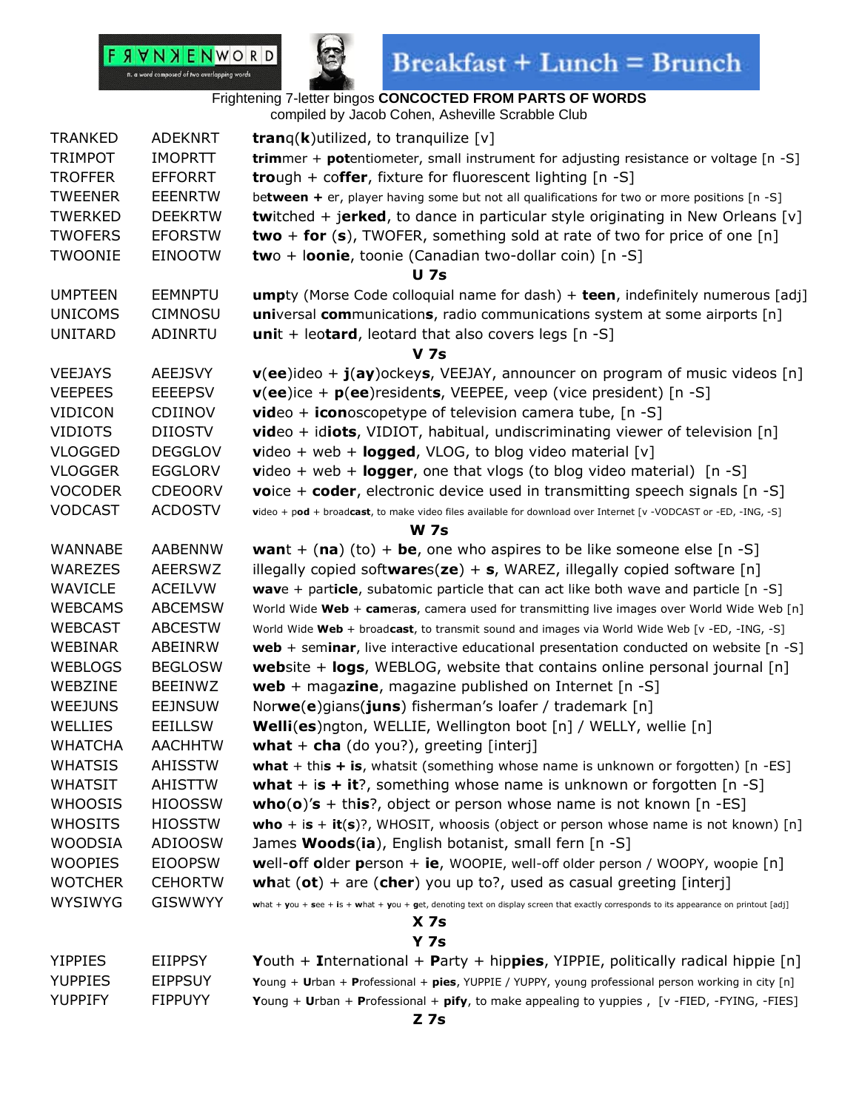

| <b>TRANKED</b> | <b>ADEKNRT</b> | <b>tran</b> g( <b>k</b> )utilized, to tranguilize $[v]$                                                                                |
|----------------|----------------|----------------------------------------------------------------------------------------------------------------------------------------|
| <b>TRIMPOT</b> | <b>IMOPRTT</b> | trimmer + potentiometer, small instrument for adjusting resistance or voltage [n -S]                                                   |
| <b>TROFFER</b> | <b>EFFORRT</b> | <b>tro</b> ugh + coffer, fixture for fluorescent lighting [n -S]                                                                       |
| <b>TWEENER</b> | <b>EEENRTW</b> | between + er, player having some but not all qualifications for two or more positions [n -S]                                           |
| <b>TWERKED</b> | <b>DEEKRTW</b> | <b>twitched + jerked, to dance in particular style originating in New Orleans [v]</b>                                                  |
| <b>TWOFERS</b> | <b>EFORSTW</b> | two + for (s), TWOFER, something sold at rate of two for price of one $[n]$                                                            |
| <b>TWOONIE</b> | <b>EINOOTW</b> | two + loonie, toonie (Canadian two-dollar coin) [n -S]                                                                                 |
|                |                | <b>U</b> 7s                                                                                                                            |
| <b>UMPTEEN</b> | <b>EEMNPTU</b> | <b>umpty</b> (Morse Code colloquial name for dash) + teen, indefinitely numerous [adj]                                                 |
| <b>UNICOMS</b> | <b>CIMNOSU</b> | universal communications, radio communications system at some airports [n]                                                             |
| <b>UNITARD</b> | <b>ADINRTU</b> | unit + leotard, leotard that also covers legs $[n -S]$                                                                                 |
|                |                | <b>V</b> 7s                                                                                                                            |
| <b>VEEJAYS</b> | <b>AEEJSVY</b> | $v(ee)$ ideo + $j(ay)$ ockeys, VEEJAY, announcer on program of music videos [n]                                                        |
| <b>VEEPEES</b> | <b>EEEEPSV</b> | $v(ee)$ ice + $p(ee)$ residents, VEEPEE, veep (vice president) [n -S]                                                                  |
| <b>VIDICON</b> | CDIINOV        | <b>video</b> + <b>icon</b> oscopetype of television camera tube, $[n -S]$                                                              |
| <b>VIDIOTS</b> | <b>DIIOSTV</b> | <b>video</b> + idiots, VIDIOT, habitual, undiscriminating viewer of television $[n]$                                                   |
| <b>VLOGGED</b> | <b>DEGGLOV</b> | <b>video</b> + web + <b>logged</b> , VLOG, to blog video material $[v]$                                                                |
| <b>VLOGGER</b> | <b>EGGLORV</b> | $video + web + logger$ , one that vlogs (to blog video material) [n -S]                                                                |
| <b>VOCODER</b> | <b>CDEOORV</b> | <b>voice + coder, electronic device used in transmitting speech signals [n -S]</b>                                                     |
| <b>VODCAST</b> | <b>ACDOSTV</b> | video + pod + broadcast, to make video files available for download over Internet [v -VODCAST or -ED, -ING, -S]                        |
|                |                | <b>W</b> 7s                                                                                                                            |
| <b>WANNABE</b> | <b>AABENNW</b> | <b>want</b> + (na) (to) + be, one who aspires to be like someone else $[n -S]$                                                         |
| WAREZES        | <b>AEERSWZ</b> | illegally copied softwares( $ze$ ) + s, WAREZ, illegally copied software [n]                                                           |
| <b>WAVICLE</b> | <b>ACEILVW</b> | wave + particle, subatomic particle that can act like both wave and particle [n -S]                                                    |
| <b>WEBCAMS</b> | <b>ABCEMSW</b> | World Wide Web + cameras, camera used for transmitting live images over World Wide Web [n]                                             |
| <b>WEBCAST</b> | <b>ABCESTW</b> | World Wide Web + broadcast, to transmit sound and images via World Wide Web [v -ED, -ING, -S]                                          |
| WEBINAR        | ABEINRW        | web + seminar, live interactive educational presentation conducted on website [n -S]                                                   |
| <b>WEBLOGS</b> | <b>BEGLOSW</b> | <b>website + logs, WEBLOG, website that contains online personal journal [n]</b>                                                       |
| WEBZINE        | <b>BEEINWZ</b> | web + magazine, magazine published on Internet $[n -S]$                                                                                |
| <b>WEEJUNS</b> | <b>EEJNSUW</b> | Norwe(e)gians(juns) fisherman's loafer / trademark [n]                                                                                 |
| WELLIES        | <b>EEILLSW</b> | <b>Welli(es)</b> ngton, WELLIE, Wellington boot [n] / WELLY, wellie [n]                                                                |
| <b>WHATCHA</b> | <b>AACHHTW</b> | what $+$ cha (do you?), greeting [interj]                                                                                              |
| <b>WHATSIS</b> | <b>AHISSTW</b> | what + this + is, whatsit (something whose name is unknown or forgotten) $[n - ES]$                                                    |
| <b>WHATSIT</b> | <b>AHISTTW</b> | <b>what</b> + is + it?, something whose name is unknown or forgotten $[n -S]$                                                          |
| <b>WHOOSIS</b> | <b>HIOOSSW</b> | <b>who(o)'s</b> + this?, object or person whose name is not known [n -ES]                                                              |
| <b>WHOSITS</b> | <b>HIOSSTW</b> | who + is + it(s)?, WHOSIT, whoosis (object or person whose name is not known) [n]                                                      |
| <b>WOODSIA</b> | <b>ADIOOSW</b> | James <b>Woods(ia)</b> , English botanist, small fern [n -S]                                                                           |
| <b>WOOPIES</b> | <b>EIOOPSW</b> | well-off older person $+$ ie, WOOPIE, well-off older person / WOOPY, woopie $[n]$                                                      |
| <b>WOTCHER</b> | <b>CEHORTW</b> | what $(\mathsf{ot})$ + are $(\mathsf{cher})$ you up to?, used as casual greeting [interj]                                              |
| <b>WYSIWYG</b> | <b>GISWWYY</b> | what + you + see + is + what + you + get, denoting text on display screen that exactly corresponds to its appearance on printout [adj] |
|                |                | X <sub>7s</sub>                                                                                                                        |
|                |                | <b>Y 7s</b>                                                                                                                            |
| <b>YIPPIES</b> | <b>EIIPPSY</b> | Youth + International + Party + hippies, YIPPIE, politically radical hippie $[n]$                                                      |
| <b>YUPPIES</b> | <b>EIPPSUY</b> | Young + Urban + Professional + pies, YUPPIE / YUPPY, young professional person working in city [n]                                     |
| YUPPIFY        | <b>FIPPUYY</b> | Young + Urban + Professional + pify, to make appealing to yuppies, [v -FIED, -FYING, -FIES]                                            |